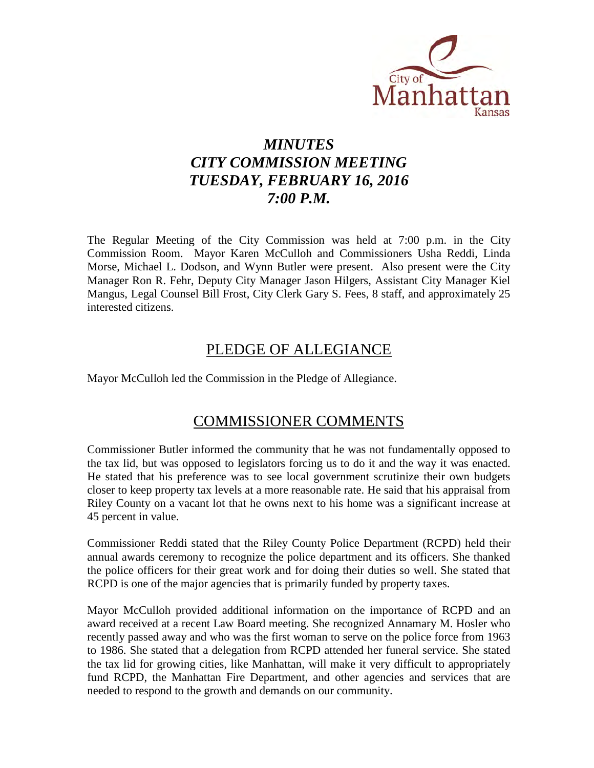

# *MINUTES CITY COMMISSION MEETING TUESDAY, FEBRUARY 16, 2016 7:00 P.M.*

The Regular Meeting of the City Commission was held at 7:00 p.m. in the City Commission Room. Mayor Karen McCulloh and Commissioners Usha Reddi, Linda Morse, Michael L. Dodson, and Wynn Butler were present. Also present were the City Manager Ron R. Fehr, Deputy City Manager Jason Hilgers, Assistant City Manager Kiel Mangus, Legal Counsel Bill Frost, City Clerk Gary S. Fees, 8 staff, and approximately 25 interested citizens.

## PLEDGE OF ALLEGIANCE

Mayor McCulloh led the Commission in the Pledge of Allegiance.

## COMMISSIONER COMMENTS

Commissioner Butler informed the community that he was not fundamentally opposed to the tax lid, but was opposed to legislators forcing us to do it and the way it was enacted. He stated that his preference was to see local government scrutinize their own budgets closer to keep property tax levels at a more reasonable rate. He said that his appraisal from Riley County on a vacant lot that he owns next to his home was a significant increase at 45 percent in value.

Commissioner Reddi stated that the Riley County Police Department (RCPD) held their annual awards ceremony to recognize the police department and its officers. She thanked the police officers for their great work and for doing their duties so well. She stated that RCPD is one of the major agencies that is primarily funded by property taxes.

Mayor McCulloh provided additional information on the importance of RCPD and an award received at a recent Law Board meeting. She recognized Annamary M. Hosler who recently passed away and who was the first woman to serve on the police force from 1963 to 1986. She stated that a delegation from RCPD attended her funeral service. She stated the tax lid for growing cities, like Manhattan, will make it very difficult to appropriately fund RCPD, the Manhattan Fire Department, and other agencies and services that are needed to respond to the growth and demands on our community.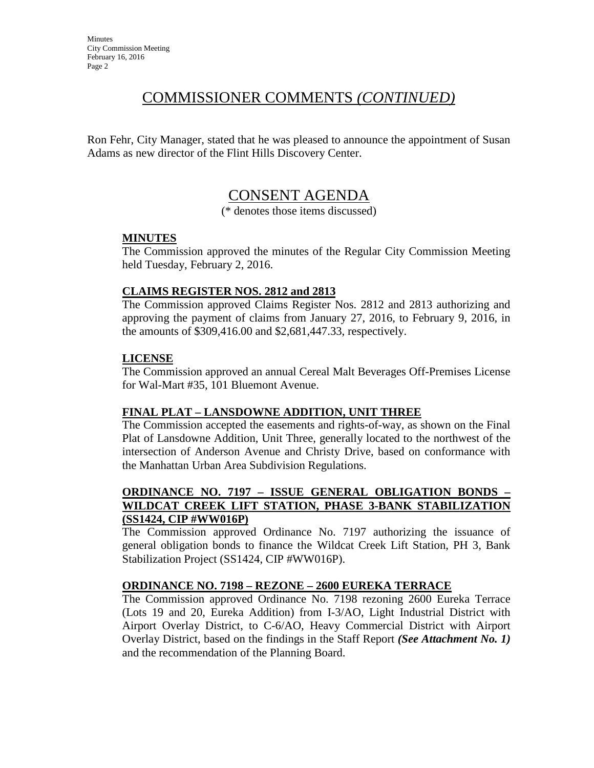## COMMISSIONER COMMENTS *(CONTINUED)*

Ron Fehr, City Manager, stated that he was pleased to announce the appointment of Susan Adams as new director of the Flint Hills Discovery Center.

## CONSENT AGENDA

(\* denotes those items discussed)

## **MINUTES**

The Commission approved the minutes of the Regular City Commission Meeting held Tuesday, February 2, 2016.

## **CLAIMS REGISTER NOS. 2812 and 2813**

The Commission approved Claims Register Nos. 2812 and 2813 authorizing and approving the payment of claims from January 27, 2016, to February 9, 2016, in the amounts of \$309,416.00 and \$2,681,447.33, respectively.

## **LICENSE**

The Commission approved an annual Cereal Malt Beverages Off-Premises License for Wal-Mart #35, 101 Bluemont Avenue.

## **FINAL PLAT – LANSDOWNE ADDITION, UNIT THREE**

The Commission accepted the easements and rights-of-way, as shown on the Final Plat of Lansdowne Addition, Unit Three, generally located to the northwest of the intersection of Anderson Avenue and Christy Drive, based on conformance with the Manhattan Urban Area Subdivision Regulations.

## **ORDINANCE NO. 7197 – ISSUE GENERAL OBLIGATION BONDS – WILDCAT CREEK LIFT STATION, PHASE 3-BANK STABILIZATION (SS1424, CIP #WW016P)**

The Commission approved Ordinance No. 7197 authorizing the issuance of general obligation bonds to finance the Wildcat Creek Lift Station, PH 3, Bank Stabilization Project (SS1424, CIP #WW016P).

#### **ORDINANCE NO. 7198 – REZONE – 2600 EUREKA TERRACE**

The Commission approved Ordinance No. 7198 rezoning 2600 Eureka Terrace (Lots 19 and 20, Eureka Addition) from I-3/AO, Light Industrial District with Airport Overlay District, to C-6/AO, Heavy Commercial District with Airport Overlay District, based on the findings in the Staff Report *(See Attachment No. 1)* and the recommendation of the Planning Board.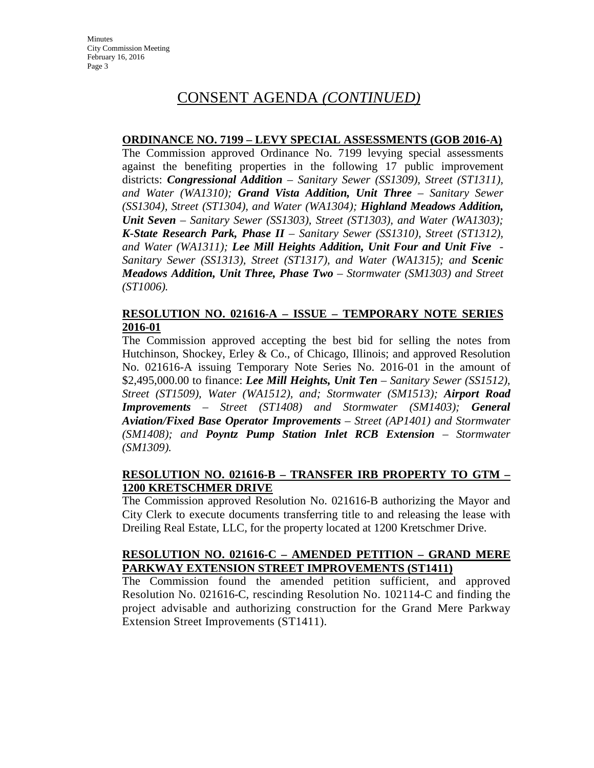#### **ORDINANCE NO. 7199 – LEVY SPECIAL ASSESSMENTS (GOB 2016-A)**

The Commission approved Ordinance No. 7199 levying special assessments against the benefiting properties in the following 17 public improvement districts: *Congressional Addition – Sanitary Sewer (SS1309), Street (ST1311), and Water (WA1310); Grand Vista Addition, Unit Three – Sanitary Sewer (SS1304), Street (ST1304), and Water (WA1304); Highland Meadows Addition, Unit Seven – Sanitary Sewer (SS1303), Street (ST1303), and Water (WA1303); K-State Research Park, Phase II – Sanitary Sewer (SS1310), Street (ST1312), and Water (WA1311); Lee Mill Heights Addition, Unit Four and Unit Five - Sanitary Sewer (SS1313), Street (ST1317), and Water (WA1315); and Scenic Meadows Addition, Unit Three, Phase Two – Stormwater (SM1303) and Street (ST1006).* 

#### **RESOLUTION NO. 021616-A – ISSUE – TEMPORARY NOTE SERIES 2016-01**

The Commission approved accepting the best bid for selling the notes from Hutchinson, Shockey, Erley & Co., of Chicago, Illinois; and approved Resolution No. 021616-A issuing Temporary Note Series No. 2016-01 in the amount of \$2,495,000.00 to finance: *Lee Mill Heights, Unit Ten – Sanitary Sewer (SS1512), Street (ST1509), Water (WA1512), and; Stormwater (SM1513); Airport Road Improvements – Street (ST1408) and Stormwater (SM1403); General Aviation/Fixed Base Operator Improvements – Street (AP1401) and Stormwater (SM1408); and Poyntz Pump Station Inlet RCB Extension – Stormwater (SM1309).*

## **RESOLUTION NO. 021616-B – TRANSFER IRB PROPERTY TO GTM – 1200 KRETSCHMER DRIVE**

The Commission approved Resolution No. 021616-B authorizing the Mayor and City Clerk to execute documents transferring title to and releasing the lease with Dreiling Real Estate, LLC, for the property located at 1200 Kretschmer Drive.

#### **RESOLUTION NO. 021616-C – AMENDED PETITION – GRAND MERE PARKWAY EXTENSION STREET IMPROVEMENTS (ST1411)**

The Commission found the amended petition sufficient, and approved Resolution No. 021616-C, rescinding Resolution No. 102114-C and finding the project advisable and authorizing construction for the Grand Mere Parkway Extension Street Improvements (ST1411).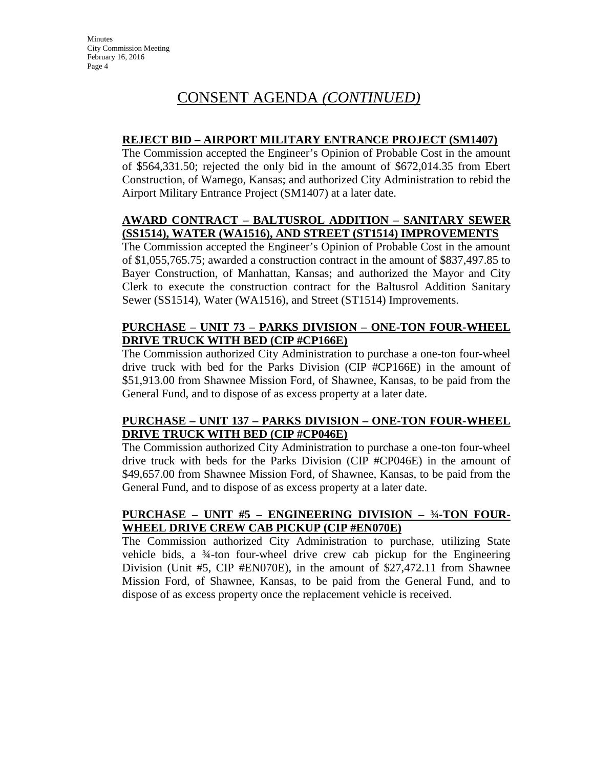## **REJECT BID – AIRPORT MILITARY ENTRANCE PROJECT (SM1407)**

The Commission accepted the Engineer's Opinion of Probable Cost in the amount of \$564,331.50; rejected the only bid in the amount of \$672,014.35 from Ebert Construction, of Wamego, Kansas; and authorized City Administration to rebid the Airport Military Entrance Project (SM1407) at a later date.

#### **AWARD CONTRACT – BALTUSROL ADDITION – SANITARY SEWER (SS1514), WATER (WA1516), AND STREET (ST1514) IMPROVEMENTS**

The Commission accepted the Engineer's Opinion of Probable Cost in the amount of \$1,055,765.75; awarded a construction contract in the amount of \$837,497.85 to Bayer Construction, of Manhattan, Kansas; and authorized the Mayor and City Clerk to execute the construction contract for the Baltusrol Addition Sanitary Sewer (SS1514), Water (WA1516), and Street (ST1514) Improvements.

## **PURCHASE – UNIT 73 – PARKS DIVISION – ONE-TON FOUR-WHEEL DRIVE TRUCK WITH BED (CIP #CP166E)**

The Commission authorized City Administration to purchase a one-ton four-wheel drive truck with bed for the Parks Division (CIP #CP166E) in the amount of \$51,913.00 from Shawnee Mission Ford, of Shawnee, Kansas, to be paid from the General Fund, and to dispose of as excess property at a later date.

## **PURCHASE – UNIT 137 – PARKS DIVISION – ONE-TON FOUR-WHEEL DRIVE TRUCK WITH BED (CIP #CP046E)**

The Commission authorized City Administration to purchase a one-ton four-wheel drive truck with beds for the Parks Division (CIP #CP046E) in the amount of \$49,657.00 from Shawnee Mission Ford, of Shawnee, Kansas, to be paid from the General Fund, and to dispose of as excess property at a later date.

## **PURCHASE – UNIT #5 – ENGINEERING DIVISION – ¾-TON FOUR-WHEEL DRIVE CREW CAB PICKUP (CIP #EN070E)**

The Commission authorized City Administration to purchase, utilizing State vehicle bids, a ¾-ton four-wheel drive crew cab pickup for the Engineering Division (Unit #5, CIP #EN070E), in the amount of \$27,472.11 from Shawnee Mission Ford, of Shawnee, Kansas, to be paid from the General Fund, and to dispose of as excess property once the replacement vehicle is received.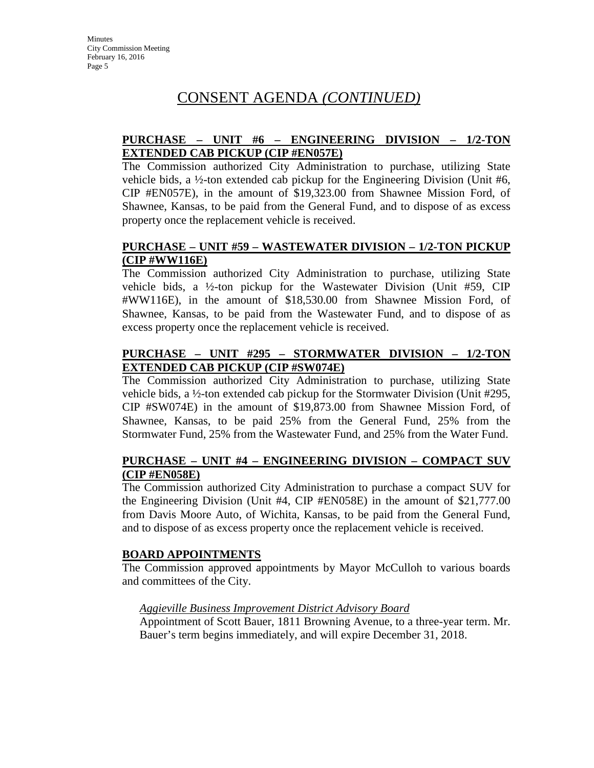## **PURCHASE – UNIT #6 – ENGINEERING DIVISION – 1/2-TON EXTENDED CAB PICKUP (CIP #EN057E)**

The Commission authorized City Administration to purchase, utilizing State vehicle bids, a  $\frac{1}{2}$ -ton extended cab pickup for the Engineering Division (Unit #6, CIP #EN057E), in the amount of \$19,323.00 from Shawnee Mission Ford, of Shawnee, Kansas, to be paid from the General Fund, and to dispose of as excess property once the replacement vehicle is received.

### **PURCHASE – UNIT #59 – WASTEWATER DIVISION – 1/2-TON PICKUP (CIP #WW116E)**

The Commission authorized City Administration to purchase, utilizing State vehicle bids, a ½-ton pickup for the Wastewater Division (Unit #59, CIP #WW116E), in the amount of \$18,530.00 from Shawnee Mission Ford, of Shawnee, Kansas, to be paid from the Wastewater Fund, and to dispose of as excess property once the replacement vehicle is received.

## **PURCHASE – UNIT #295 – STORMWATER DIVISION – 1/2-TON EXTENDED CAB PICKUP (CIP #SW074E)**

The Commission authorized City Administration to purchase, utilizing State vehicle bids, a ½-ton extended cab pickup for the Stormwater Division (Unit #295, CIP #SW074E) in the amount of \$19,873.00 from Shawnee Mission Ford, of Shawnee, Kansas, to be paid 25% from the General Fund, 25% from the Stormwater Fund, 25% from the Wastewater Fund, and 25% from the Water Fund.

## **PURCHASE – UNIT #4 – ENGINEERING DIVISION – COMPACT SUV (CIP #EN058E)**

The Commission authorized City Administration to purchase a compact SUV for the Engineering Division (Unit #4, CIP #EN058E) in the amount of \$21,777.00 from Davis Moore Auto, of Wichita, Kansas, to be paid from the General Fund, and to dispose of as excess property once the replacement vehicle is received.

## **BOARD APPOINTMENTS**

The Commission approved appointments by Mayor McCulloh to various boards and committees of the City.

## *Aggieville Business Improvement District Advisory Board*

Appointment of Scott Bauer, 1811 Browning Avenue, to a three-year term. Mr. Bauer's term begins immediately, and will expire December 31, 2018.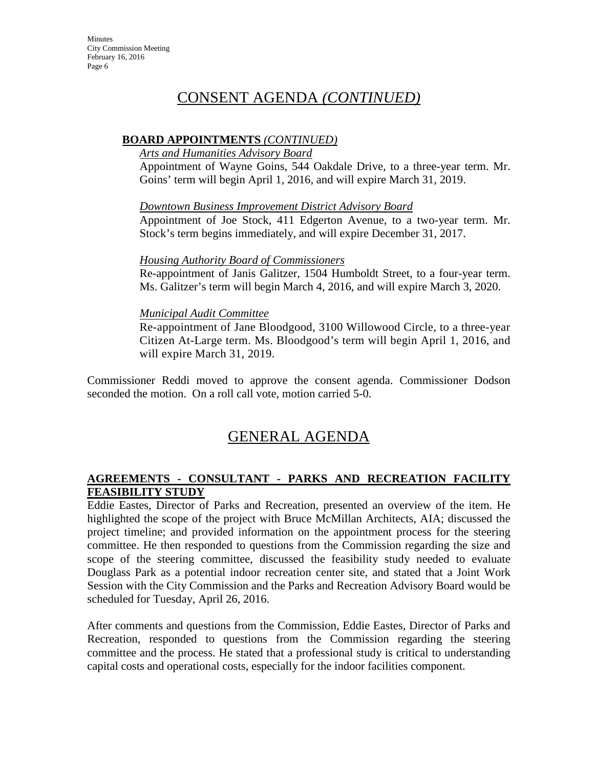## **BOARD APPOINTMENTS** *(CONTINUED)*

#### *Arts and Humanities Advisory Board*

Appointment of Wayne Goins, 544 Oakdale Drive, to a three-year term. Mr. Goins' term will begin April 1, 2016, and will expire March 31, 2019.

*Downtown Business Improvement District Advisory Board*

Appointment of Joe Stock, 411 Edgerton Avenue, to a two-year term. Mr. Stock's term begins immediately, and will expire December 31, 2017.

#### *Housing Authority Board of Commissioners*

Re-appointment of Janis Galitzer, 1504 Humboldt Street, to a four-year term. Ms. Galitzer's term will begin March 4, 2016, and will expire March 3, 2020.

#### *Municipal Audit Committee*

Re-appointment of Jane Bloodgood, 3100 Willowood Circle, to a three-year Citizen At-Large term. Ms. Bloodgood's term will begin April 1, 2016, and will expire March 31, 2019.

Commissioner Reddi moved to approve the consent agenda. Commissioner Dodson seconded the motion. On a roll call vote, motion carried 5-0.

# GENERAL AGENDA

## **AGREEMENTS - CONSULTANT - PARKS AND RECREATION FACILITY FEASIBILITY STUDY**

Eddie Eastes, Director of Parks and Recreation, presented an overview of the item. He highlighted the scope of the project with Bruce McMillan Architects, AIA; discussed the project timeline; and provided information on the appointment process for the steering committee. He then responded to questions from the Commission regarding the size and scope of the steering committee, discussed the feasibility study needed to evaluate Douglass Park as a potential indoor recreation center site, and stated that a Joint Work Session with the City Commission and the Parks and Recreation Advisory Board would be scheduled for Tuesday, April 26, 2016.

After comments and questions from the Commission, Eddie Eastes, Director of Parks and Recreation, responded to questions from the Commission regarding the steering committee and the process. He stated that a professional study is critical to understanding capital costs and operational costs, especially for the indoor facilities component.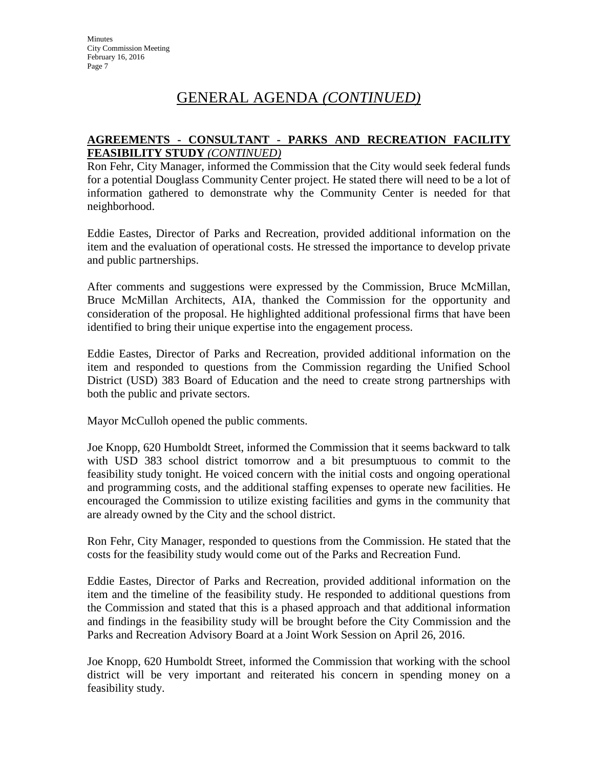## **AGREEMENTS - CONSULTANT - PARKS AND RECREATION FACILITY FEASIBILITY STUDY** *(CONTINUED)*

Ron Fehr, City Manager, informed the Commission that the City would seek federal funds for a potential Douglass Community Center project. He stated there will need to be a lot of information gathered to demonstrate why the Community Center is needed for that neighborhood.

Eddie Eastes, Director of Parks and Recreation, provided additional information on the item and the evaluation of operational costs. He stressed the importance to develop private and public partnerships.

After comments and suggestions were expressed by the Commission, Bruce McMillan, Bruce McMillan Architects, AIA, thanked the Commission for the opportunity and consideration of the proposal. He highlighted additional professional firms that have been identified to bring their unique expertise into the engagement process.

Eddie Eastes, Director of Parks and Recreation, provided additional information on the item and responded to questions from the Commission regarding the Unified School District (USD) 383 Board of Education and the need to create strong partnerships with both the public and private sectors.

Mayor McCulloh opened the public comments.

Joe Knopp, 620 Humboldt Street, informed the Commission that it seems backward to talk with USD 383 school district tomorrow and a bit presumptuous to commit to the feasibility study tonight. He voiced concern with the initial costs and ongoing operational and programming costs, and the additional staffing expenses to operate new facilities. He encouraged the Commission to utilize existing facilities and gyms in the community that are already owned by the City and the school district.

Ron Fehr, City Manager, responded to questions from the Commission. He stated that the costs for the feasibility study would come out of the Parks and Recreation Fund.

Eddie Eastes, Director of Parks and Recreation, provided additional information on the item and the timeline of the feasibility study. He responded to additional questions from the Commission and stated that this is a phased approach and that additional information and findings in the feasibility study will be brought before the City Commission and the Parks and Recreation Advisory Board at a Joint Work Session on April 26, 2016.

Joe Knopp, 620 Humboldt Street, informed the Commission that working with the school district will be very important and reiterated his concern in spending money on a feasibility study.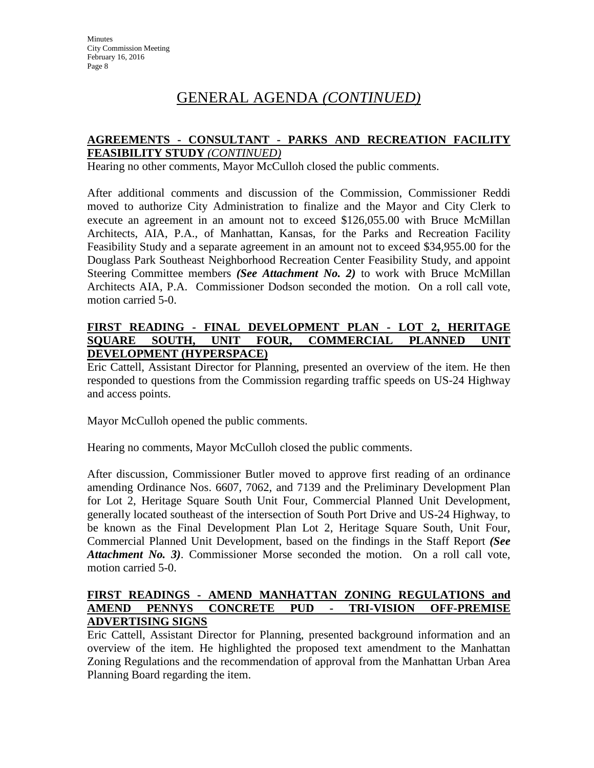### **AGREEMENTS - CONSULTANT - PARKS AND RECREATION FACILITY FEASIBILITY STUDY** *(CONTINUED)*

Hearing no other comments, Mayor McCulloh closed the public comments.

After additional comments and discussion of the Commission, Commissioner Reddi moved to authorize City Administration to finalize and the Mayor and City Clerk to execute an agreement in an amount not to exceed \$126,055.00 with Bruce McMillan Architects, AIA, P.A., of Manhattan, Kansas, for the Parks and Recreation Facility Feasibility Study and a separate agreement in an amount not to exceed \$34,955.00 for the Douglass Park Southeast Neighborhood Recreation Center Feasibility Study, and appoint Steering Committee members *(See Attachment No. 2)* to work with Bruce McMillan Architects AIA, P.A. Commissioner Dodson seconded the motion. On a roll call vote, motion carried 5-0.

## **FIRST READING - FINAL DEVELOPMENT PLAN - LOT 2, HERITAGE SQUARE SOUTH, UNIT FOUR, COMMERCIAL PLANNED UNIT DEVELOPMENT (HYPERSPACE)**

Eric Cattell, Assistant Director for Planning, presented an overview of the item. He then responded to questions from the Commission regarding traffic speeds on US-24 Highway and access points.

Mayor McCulloh opened the public comments.

Hearing no comments, Mayor McCulloh closed the public comments.

After discussion, Commissioner Butler moved to approve first reading of an ordinance amending Ordinance Nos. 6607, 7062, and 7139 and the Preliminary Development Plan for Lot 2, Heritage Square South Unit Four, Commercial Planned Unit Development, generally located southeast of the intersection of South Port Drive and US-24 Highway, to be known as the Final Development Plan Lot 2, Heritage Square South, Unit Four, Commercial Planned Unit Development, based on the findings in the Staff Report *(See Attachment No. 3)*. Commissioner Morse seconded the motion. On a roll call vote, motion carried 5-0.

#### **FIRST READINGS - AMEND MANHATTAN ZONING REGULATIONS and AMEND PENNYS CONCRETE PUD - TRI-VISION OFF-PREMISE ADVERTISING SIGNS**

Eric Cattell, Assistant Director for Planning, presented background information and an overview of the item. He highlighted the proposed text amendment to the Manhattan Zoning Regulations and the recommendation of approval from the Manhattan Urban Area Planning Board regarding the item.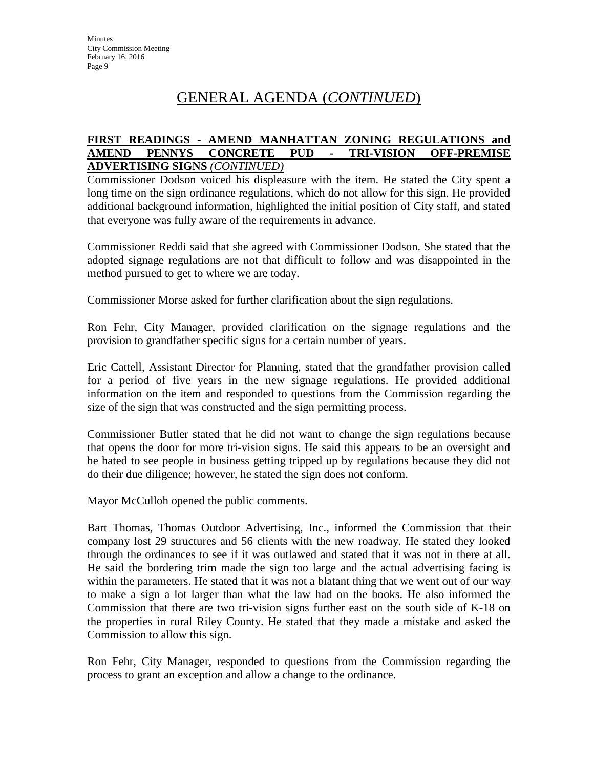#### **FIRST READINGS - AMEND MANHATTAN ZONING REGULATIONS and AMEND PENNYS CONCRETE PUD - TRI-VISION OFF-PREMISE ADVERTISING SIGNS** *(CONTINUED)*

Commissioner Dodson voiced his displeasure with the item. He stated the City spent a long time on the sign ordinance regulations, which do not allow for this sign. He provided additional background information, highlighted the initial position of City staff, and stated that everyone was fully aware of the requirements in advance.

Commissioner Reddi said that she agreed with Commissioner Dodson. She stated that the adopted signage regulations are not that difficult to follow and was disappointed in the method pursued to get to where we are today.

Commissioner Morse asked for further clarification about the sign regulations.

Ron Fehr, City Manager, provided clarification on the signage regulations and the provision to grandfather specific signs for a certain number of years.

Eric Cattell, Assistant Director for Planning, stated that the grandfather provision called for a period of five years in the new signage regulations. He provided additional information on the item and responded to questions from the Commission regarding the size of the sign that was constructed and the sign permitting process.

Commissioner Butler stated that he did not want to change the sign regulations because that opens the door for more tri-vision signs. He said this appears to be an oversight and he hated to see people in business getting tripped up by regulations because they did not do their due diligence; however, he stated the sign does not conform.

Mayor McCulloh opened the public comments.

Bart Thomas, Thomas Outdoor Advertising, Inc., informed the Commission that their company lost 29 structures and 56 clients with the new roadway. He stated they looked through the ordinances to see if it was outlawed and stated that it was not in there at all. He said the bordering trim made the sign too large and the actual advertising facing is within the parameters. He stated that it was not a blatant thing that we went out of our way to make a sign a lot larger than what the law had on the books. He also informed the Commission that there are two tri-vision signs further east on the south side of K-18 on the properties in rural Riley County. He stated that they made a mistake and asked the Commission to allow this sign.

Ron Fehr, City Manager, responded to questions from the Commission regarding the process to grant an exception and allow a change to the ordinance.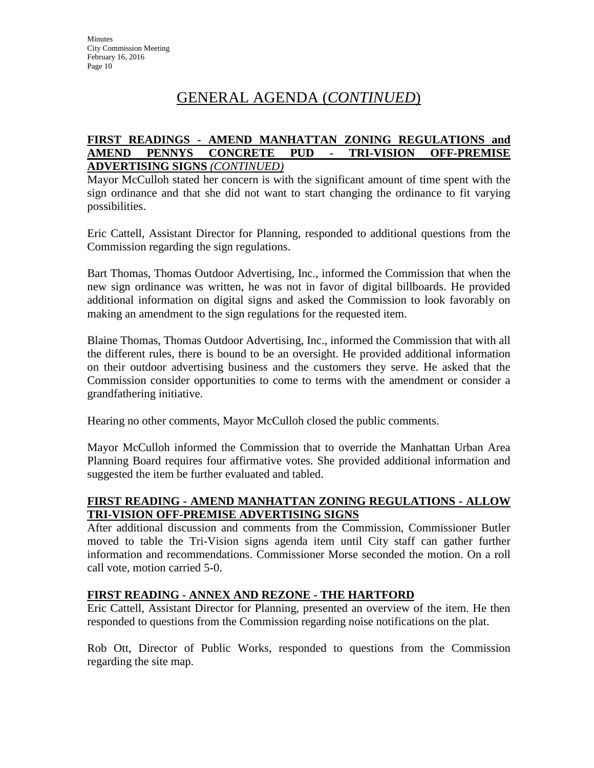#### **FIRST READINGS - AMEND MANHATTAN ZONING REGULATIONS and AMEND PENNYS CONCRETE PUD - TRI-VISION OFF-PREMISE ADVERTISING SIGNS** *(CONTINUED)*

Mayor McCulloh stated her concern is with the significant amount of time spent with the sign ordinance and that she did not want to start changing the ordinance to fit varying possibilities.

Eric Cattell, Assistant Director for Planning, responded to additional questions from the Commission regarding the sign regulations.

Bart Thomas, Thomas Outdoor Advertising, Inc., informed the Commission that when the new sign ordinance was written, he was not in favor of digital billboards. He provided additional information on digital signs and asked the Commission to look favorably on making an amendment to the sign regulations for the requested item.

Blaine Thomas, Thomas Outdoor Advertising, Inc., informed the Commission that with all the different rules, there is bound to be an oversight. He provided additional information on their outdoor advertising business and the customers they serve. He asked that the Commission consider opportunities to come to terms with the amendment or consider a grandfathering initiative.

Hearing no other comments, Mayor McCulloh closed the public comments.

Mayor McCulloh informed the Commission that to override the Manhattan Urban Area Planning Board requires four affirmative votes. She provided additional information and suggested the item be further evaluated and tabled.

## **FIRST READING - AMEND MANHATTAN ZONING REGULATIONS - ALLOW TRI-VISION OFF-PREMISE ADVERTISING SIGNS**

After additional discussion and comments from the Commission, Commissioner Butler moved to table the Tri-Vision signs agenda item until City staff can gather further information and recommendations. Commissioner Morse seconded the motion. On a roll call vote, motion carried 5-0.

## **FIRST READING - ANNEX AND REZONE - THE HARTFORD**

Eric Cattell, Assistant Director for Planning, presented an overview of the item. He then responded to questions from the Commission regarding noise notifications on the plat.

Rob Ott, Director of Public Works, responded to questions from the Commission regarding the site map.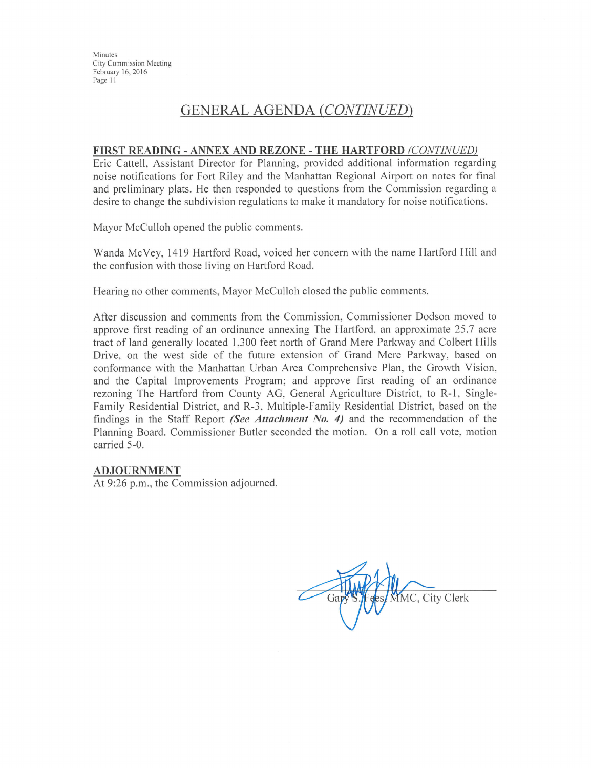## **GENERAL AGENDA (CONTINUED)**

#### FIRST READING - ANNEX AND REZONE - THE HARTFORD (CONTINUED)

Eric Cattell, Assistant Director for Planning, provided additional information regarding noise notifications for Fort Riley and the Manhattan Regional Airport on notes for final and preliminary plats. He then responded to questions from the Commission regarding a desire to change the subdivision regulations to make it mandatory for noise notifications.

Mayor McCulloh opened the public comments.

Wanda McVey, 1419 Hartford Road, voiced her concern with the name Hartford Hill and the confusion with those living on Hartford Road.

Hearing no other comments, Mayor McCulloh closed the public comments.

After discussion and comments from the Commission, Commissioner Dodson moved to approve first reading of an ordinance annexing The Hartford, an approximate 25.7 acre tract of land generally located 1,300 feet north of Grand Mere Parkway and Colbert Hills Drive, on the west side of the future extension of Grand Mere Parkway, based on conformance with the Manhattan Urban Area Comprehensive Plan, the Growth Vision, and the Capital Improvements Program; and approve first reading of an ordinance rezoning The Hartford from County AG, General Agriculture District, to R-1, Single-Family Residential District, and R-3, Multiple-Family Residential District, based on the findings in the Staff Report (See Attachment No. 4) and the recommendation of the Planning Board. Commissioner Butler seconded the motion. On a roll call vote, motion carried 5-0.

#### **ADJOURNMENT**

At 9:26 p.m., the Commission adjourned.

MMC, City Clerk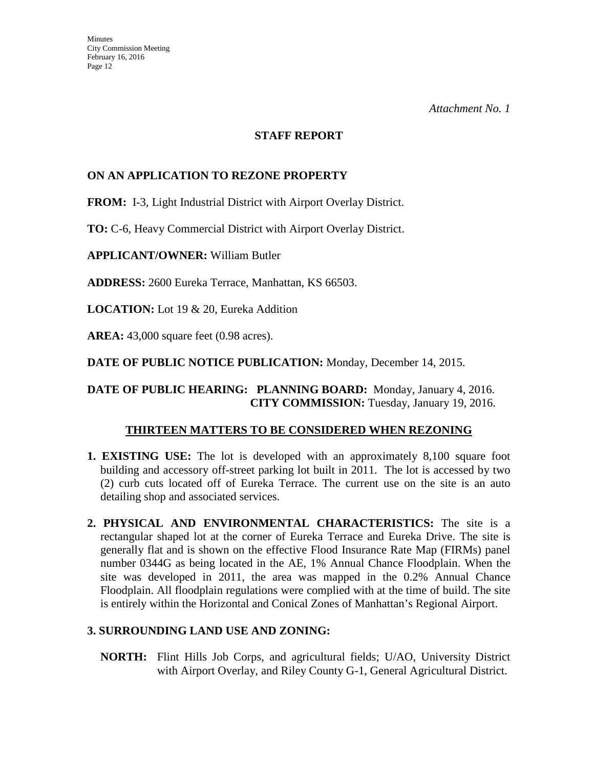#### **STAFF REPORT**

### **ON AN APPLICATION TO REZONE PROPERTY**

**FROM:** I-3, Light Industrial District with Airport Overlay District.

**TO:** C-6, Heavy Commercial District with Airport Overlay District.

**APPLICANT/OWNER:** William Butler

**ADDRESS:** 2600 Eureka Terrace, Manhattan, KS 66503.

**LOCATION:** Lot 19 & 20, Eureka Addition

**AREA:** 43,000 square feet (0.98 acres).

**DATE OF PUBLIC NOTICE PUBLICATION:** Monday, December 14, 2015.

**DATE OF PUBLIC HEARING: PLANNING BOARD:** Monday, January 4, 2016. **CITY COMMISSION:** Tuesday, January 19, 2016.

#### **THIRTEEN MATTERS TO BE CONSIDERED WHEN REZONING**

- **1. EXISTING USE:** The lot is developed with an approximately 8,100 square foot building and accessory off-street parking lot built in 2011. The lot is accessed by two (2) curb cuts located off of Eureka Terrace. The current use on the site is an auto detailing shop and associated services.
- **2. PHYSICAL AND ENVIRONMENTAL CHARACTERISTICS:** The site is a rectangular shaped lot at the corner of Eureka Terrace and Eureka Drive. The site is generally flat and is shown on the effective Flood Insurance Rate Map (FIRMs) panel number 0344G as being located in the AE, 1% Annual Chance Floodplain. When the site was developed in 2011, the area was mapped in the 0.2% Annual Chance Floodplain. All floodplain regulations were complied with at the time of build. The site is entirely within the Horizontal and Conical Zones of Manhattan's Regional Airport.

#### **3. SURROUNDING LAND USE AND ZONING:**

 **NORTH:** Flint Hills Job Corps, and agricultural fields; U/AO, University District with Airport Overlay, and Riley County G-1, General Agricultural District.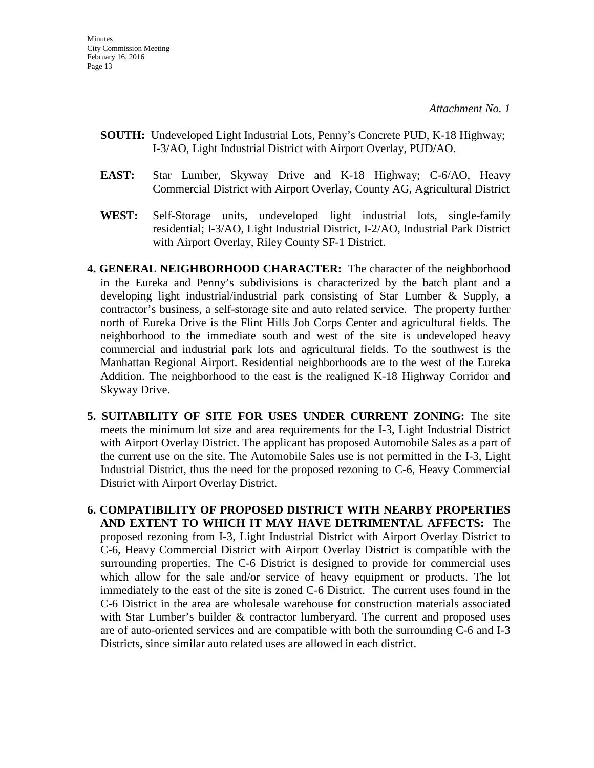- **SOUTH:** Undeveloped Light Industrial Lots, Penny's Concrete PUD, K-18 Highway; I-3/AO, Light Industrial District with Airport Overlay, PUD/AO.
- **EAST:** Star Lumber, Skyway Drive and K-18 Highway; C-6/AO, Heavy Commercial District with Airport Overlay, County AG, Agricultural District
- **WEST:** Self-Storage units, undeveloped light industrial lots, single-family residential; I-3/AO, Light Industrial District, I-2/AO, Industrial Park District with Airport Overlay, Riley County SF-1 District.
- **4. GENERAL NEIGHBORHOOD CHARACTER:** The character of the neighborhood in the Eureka and Penny's subdivisions is characterized by the batch plant and a developing light industrial/industrial park consisting of Star Lumber & Supply, a contractor's business, a self-storage site and auto related service. The property further north of Eureka Drive is the Flint Hills Job Corps Center and agricultural fields. The neighborhood to the immediate south and west of the site is undeveloped heavy commercial and industrial park lots and agricultural fields. To the southwest is the Manhattan Regional Airport. Residential neighborhoods are to the west of the Eureka Addition. The neighborhood to the east is the realigned K-18 Highway Corridor and Skyway Drive.
- **5. SUITABILITY OF SITE FOR USES UNDER CURRENT ZONING:** The site meets the minimum lot size and area requirements for the I-3, Light Industrial District with Airport Overlay District. The applicant has proposed Automobile Sales as a part of the current use on the site. The Automobile Sales use is not permitted in the I-3, Light Industrial District, thus the need for the proposed rezoning to C-6, Heavy Commercial District with Airport Overlay District.
- **6. COMPATIBILITY OF PROPOSED DISTRICT WITH NEARBY PROPERTIES AND EXTENT TO WHICH IT MAY HAVE DETRIMENTAL AFFECTS:** The proposed rezoning from I-3, Light Industrial District with Airport Overlay District to C-6, Heavy Commercial District with Airport Overlay District is compatible with the surrounding properties. The C-6 District is designed to provide for commercial uses which allow for the sale and/or service of heavy equipment or products. The lot immediately to the east of the site is zoned C-6 District. The current uses found in the C-6 District in the area are wholesale warehouse for construction materials associated with Star Lumber's builder & contractor lumberyard. The current and proposed uses are of auto-oriented services and are compatible with both the surrounding C-6 and I-3 Districts, since similar auto related uses are allowed in each district.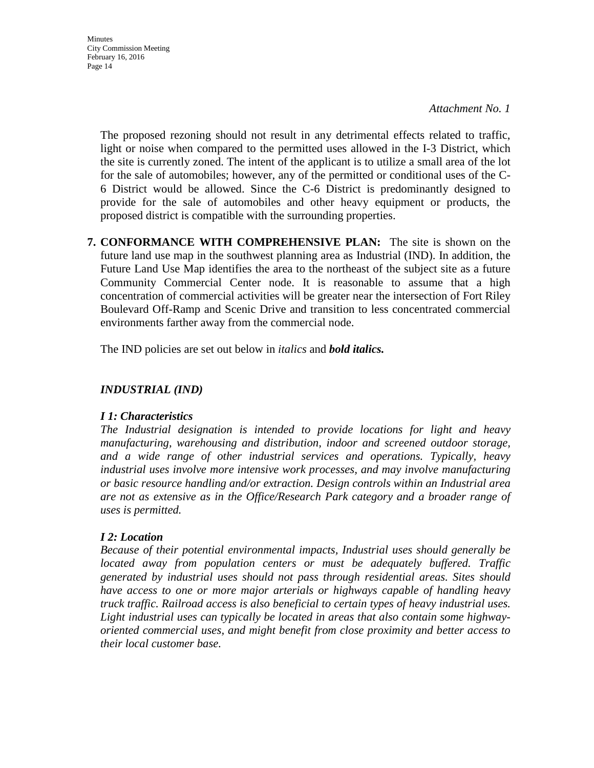**Minutes** City Commission Meeting February 16, 2016 Page 14

> The proposed rezoning should not result in any detrimental effects related to traffic, light or noise when compared to the permitted uses allowed in the I-3 District, which the site is currently zoned. The intent of the applicant is to utilize a small area of the lot for the sale of automobiles; however, any of the permitted or conditional uses of the C-6 District would be allowed. Since the C-6 District is predominantly designed to provide for the sale of automobiles and other heavy equipment or products, the proposed district is compatible with the surrounding properties.

**7. CONFORMANCE WITH COMPREHENSIVE PLAN:** The site is shown on the future land use map in the southwest planning area as Industrial (IND). In addition, the Future Land Use Map identifies the area to the northeast of the subject site as a future Community Commercial Center node. It is reasonable to assume that a high concentration of commercial activities will be greater near the intersection of Fort Riley Boulevard Off-Ramp and Scenic Drive and transition to less concentrated commercial environments farther away from the commercial node.

The IND policies are set out below in *italics* and *bold italics.*

## *INDUSTRIAL (IND)*

## *I 1: Characteristics*

*The Industrial designation is intended to provide locations for light and heavy manufacturing, warehousing and distribution, indoor and screened outdoor storage, and a wide range of other industrial services and operations. Typically, heavy industrial uses involve more intensive work processes, and may involve manufacturing or basic resource handling and/or extraction. Design controls within an Industrial area are not as extensive as in the Office/Research Park category and a broader range of uses is permitted.* 

## *I 2: Location*

*Because of their potential environmental impacts, Industrial uses should generally be located away from population centers or must be adequately buffered. Traffic generated by industrial uses should not pass through residential areas. Sites should have access to one or more major arterials or highways capable of handling heavy truck traffic. Railroad access is also beneficial to certain types of heavy industrial uses. Light industrial uses can typically be located in areas that also contain some highwayoriented commercial uses, and might benefit from close proximity and better access to their local customer base.*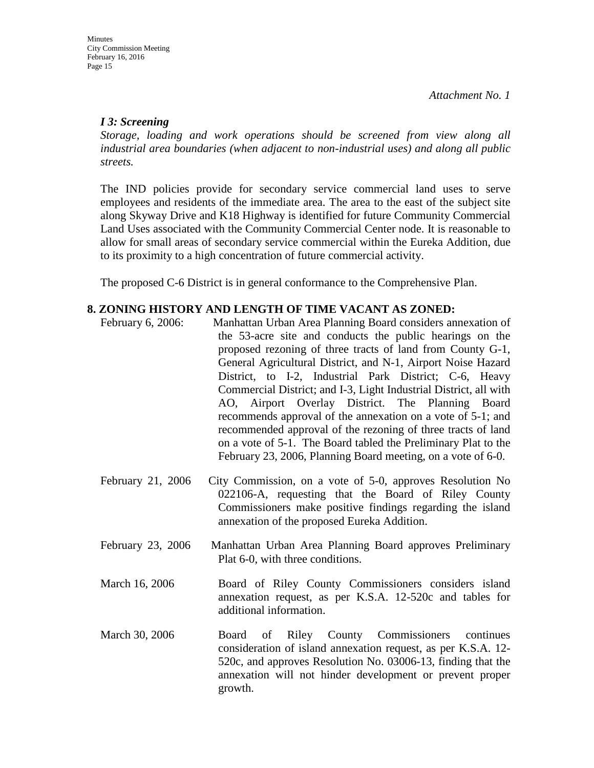## *I 3: Screening*

*Storage, loading and work operations should be screened from view along all industrial area boundaries (when adjacent to non-industrial uses) and along all public streets.*

The IND policies provide for secondary service commercial land uses to serve employees and residents of the immediate area. The area to the east of the subject site along Skyway Drive and K18 Highway is identified for future Community Commercial Land Uses associated with the Community Commercial Center node. It is reasonable to allow for small areas of secondary service commercial within the Eureka Addition, due to its proximity to a high concentration of future commercial activity.

The proposed C-6 District is in general conformance to the Comprehensive Plan.

#### **8. ZONING HISTORY AND LENGTH OF TIME VACANT AS ZONED:**

- February 6, 2006: Manhattan Urban Area Planning Board considers annexation of the 53-acre site and conducts the public hearings on the proposed rezoning of three tracts of land from County G-1, General Agricultural District, and N-1, Airport Noise Hazard District, to I-2, Industrial Park District; C-6, Heavy Commercial District; and I-3, Light Industrial District, all with AO, Airport Overlay District. The Planning Board recommends approval of the annexation on a vote of 5-1; and recommended approval of the rezoning of three tracts of land on a vote of 5-1. The Board tabled the Preliminary Plat to the February 23, 2006, Planning Board meeting, on a vote of 6-0.
- February 21, 2006 City Commission, on a vote of 5-0, approves Resolution No 022106-A, requesting that the Board of Riley County Commissioners make positive findings regarding the island annexation of the proposed Eureka Addition.
- February 23, 2006 Manhattan Urban Area Planning Board approves Preliminary Plat 6-0, with three conditions.
- March 16, 2006 Board of Riley County Commissioners considers island annexation request, as per K.S.A. 12-520c and tables for additional information.
- March 30, 2006 Board of Riley County Commissioners continues consideration of island annexation request, as per K.S.A. 12- 520c, and approves Resolution No. 03006-13, finding that the annexation will not hinder development or prevent proper growth.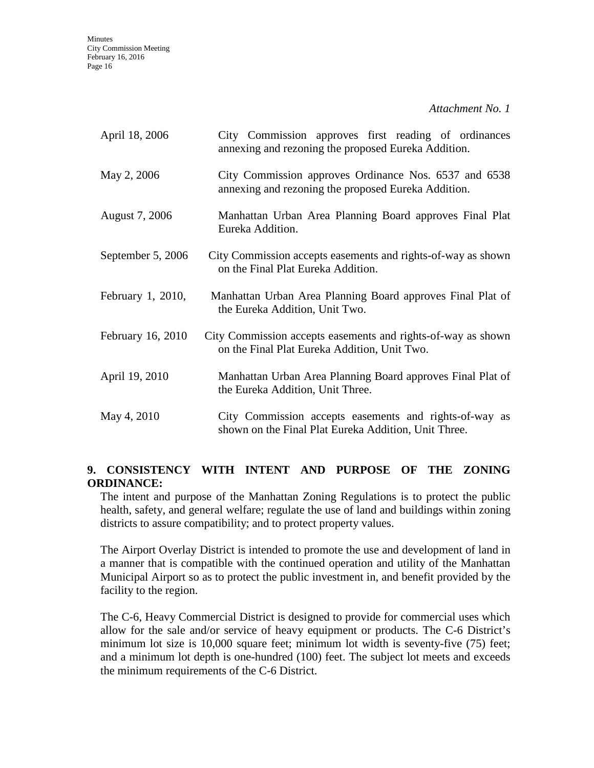*Attachment No. 1*

| April 18, 2006    | City Commission approves first reading of ordinances<br>annexing and rezoning the proposed Eureka Addition.    |
|-------------------|----------------------------------------------------------------------------------------------------------------|
| May 2, 2006       | City Commission approves Ordinance Nos. 6537 and 6538<br>annexing and rezoning the proposed Eureka Addition.   |
| August 7, 2006    | Manhattan Urban Area Planning Board approves Final Plat<br>Eureka Addition.                                    |
| September 5, 2006 | City Commission accepts easements and rights-of-way as shown<br>on the Final Plat Eureka Addition.             |
| February 1, 2010, | Manhattan Urban Area Planning Board approves Final Plat of<br>the Eureka Addition, Unit Two.                   |
| February 16, 2010 | City Commission accepts easements and rights-of-way as shown<br>on the Final Plat Eureka Addition, Unit Two.   |
| April 19, 2010    | Manhattan Urban Area Planning Board approves Final Plat of<br>the Eureka Addition, Unit Three.                 |
| May 4, 2010       | City Commission accepts easements and rights-of-way as<br>shown on the Final Plat Eureka Addition, Unit Three. |

## **9. CONSISTENCY WITH INTENT AND PURPOSE OF THE ZONING ORDINANCE:**

The intent and purpose of the Manhattan Zoning Regulations is to protect the public health, safety, and general welfare; regulate the use of land and buildings within zoning districts to assure compatibility; and to protect property values.

The Airport Overlay District is intended to promote the use and development of land in a manner that is compatible with the continued operation and utility of the Manhattan Municipal Airport so as to protect the public investment in, and benefit provided by the facility to the region.

The C-6, Heavy Commercial District is designed to provide for commercial uses which allow for the sale and/or service of heavy equipment or products. The C-6 District's minimum lot size is 10,000 square feet; minimum lot width is seventy-five (75) feet; and a minimum lot depth is one-hundred (100) feet. The subject lot meets and exceeds the minimum requirements of the C-6 District.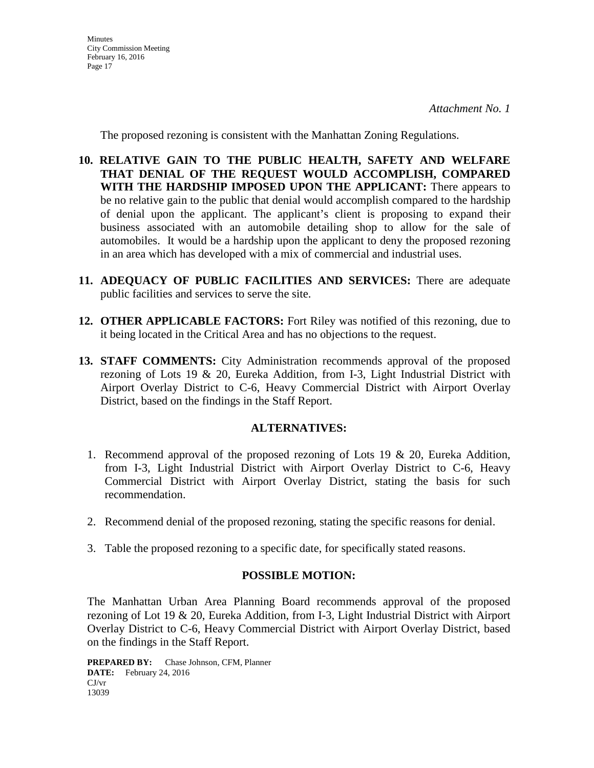The proposed rezoning is consistent with the Manhattan Zoning Regulations.

- **10. RELATIVE GAIN TO THE PUBLIC HEALTH, SAFETY AND WELFARE THAT DENIAL OF THE REQUEST WOULD ACCOMPLISH, COMPARED WITH THE HARDSHIP IMPOSED UPON THE APPLICANT:** There appears to be no relative gain to the public that denial would accomplish compared to the hardship of denial upon the applicant. The applicant's client is proposing to expand their business associated with an automobile detailing shop to allow for the sale of automobiles. It would be a hardship upon the applicant to deny the proposed rezoning in an area which has developed with a mix of commercial and industrial uses.
- **11. ADEQUACY OF PUBLIC FACILITIES AND SERVICES:** There are adequate public facilities and services to serve the site.
- **12. OTHER APPLICABLE FACTORS:** Fort Riley was notified of this rezoning, due to it being located in the Critical Area and has no objections to the request.
- **13. STAFF COMMENTS:** City Administration recommends approval of the proposed rezoning of Lots 19 & 20, Eureka Addition, from I-3, Light Industrial District with Airport Overlay District to C-6, Heavy Commercial District with Airport Overlay District, based on the findings in the Staff Report.

## **ALTERNATIVES:**

- 1. Recommend approval of the proposed rezoning of Lots 19 & 20, Eureka Addition, from I-3, Light Industrial District with Airport Overlay District to C-6, Heavy Commercial District with Airport Overlay District, stating the basis for such recommendation.
- 2. Recommend denial of the proposed rezoning, stating the specific reasons for denial.
- 3. Table the proposed rezoning to a specific date, for specifically stated reasons.

## **POSSIBLE MOTION:**

The Manhattan Urban Area Planning Board recommends approval of the proposed rezoning of Lot 19 & 20, Eureka Addition, from I-3, Light Industrial District with Airport Overlay District to C-6, Heavy Commercial District with Airport Overlay District, based on the findings in the Staff Report.

**PREPARED BY:** Chase Johnson, CFM, Planner **DATE:** February 24, 2016 CJ/vr 13039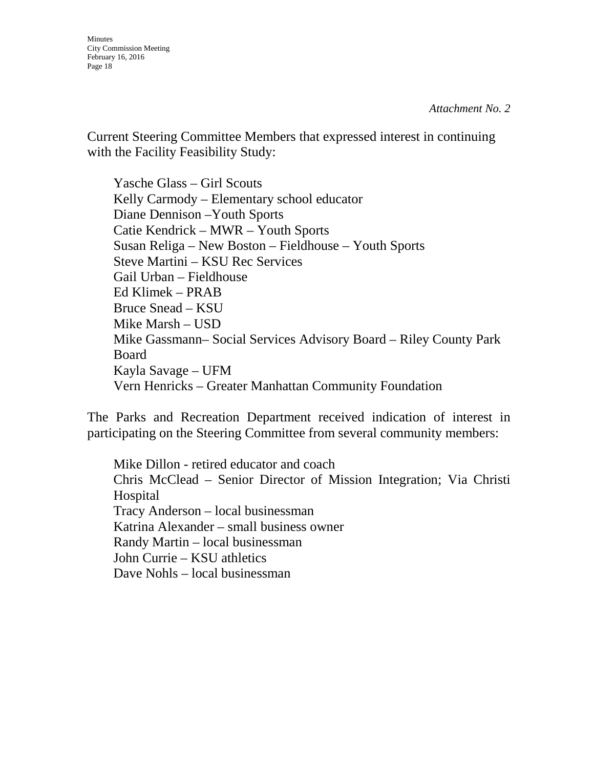Current Steering Committee Members that expressed interest in continuing with the Facility Feasibility Study:

Yasche Glass – Girl Scouts Kelly Carmody – Elementary school educator Diane Dennison –Youth Sports Catie Kendrick – MWR – Youth Sports Susan Religa – New Boston – Fieldhouse – Youth Sports Steve Martini – KSU Rec Services Gail Urban – Fieldhouse Ed Klimek – PRAB Bruce Snead – KSU Mike Marsh – USD Mike Gassmann– Social Services Advisory Board – Riley County Park Board Kayla Savage – UFM Vern Henricks – Greater Manhattan Community Foundation

The Parks and Recreation Department received indication of interest in participating on the Steering Committee from several community members:

Mike Dillon - retired educator and coach Chris McClead – Senior Director of Mission Integration; Via Christi Hospital Tracy Anderson – local businessman Katrina Alexander – small business owner Randy Martin – local businessman John Currie – KSU athletics Dave Nohls – local businessman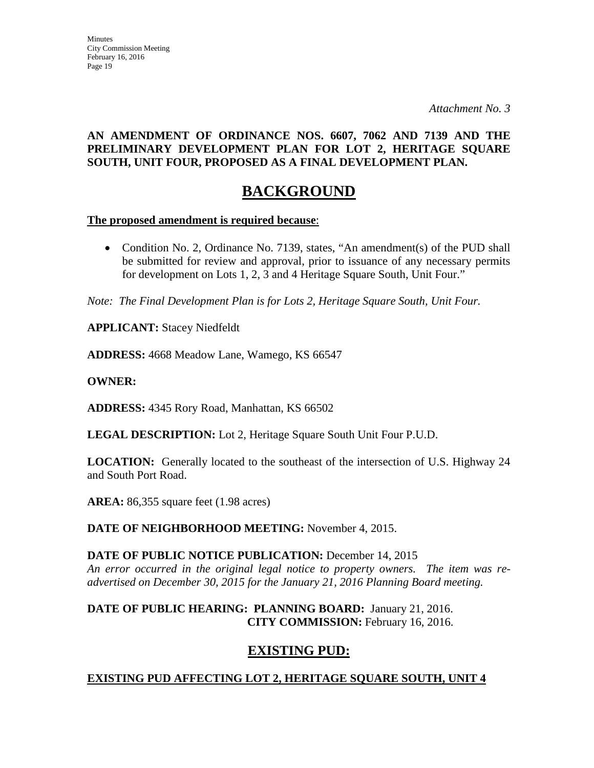### **AN AMENDMENT OF ORDINANCE NOS. 6607, 7062 AND 7139 AND THE PRELIMINARY DEVELOPMENT PLAN FOR LOT 2, HERITAGE SQUARE SOUTH, UNIT FOUR, PROPOSED AS A FINAL DEVELOPMENT PLAN.**

# **BACKGROUND**

#### **The proposed amendment is required because**:

• Condition No. 2, Ordinance No. 7139, states, "An amendment(s) of the PUD shall be submitted for review and approval, prior to issuance of any necessary permits for development on Lots 1, 2, 3 and 4 Heritage Square South, Unit Four."

*Note: The Final Development Plan is for Lots 2, Heritage Square South, Unit Four.* 

**APPLICANT:** Stacey Niedfeldt

**ADDRESS:** 4668 Meadow Lane, Wamego, KS 66547

**OWNER:** 

**ADDRESS:** 4345 Rory Road, Manhattan, KS 66502

**LEGAL DESCRIPTION:** Lot 2, Heritage Square South Unit Four P.U.D.

**LOCATION:** Generally located to the southeast of the intersection of U.S. Highway 24 and South Port Road.

**AREA:** 86,355 square feet (1.98 acres)

**DATE OF NEIGHBORHOOD MEETING:** November 4, 2015.

**DATE OF PUBLIC NOTICE PUBLICATION:** December 14, 2015 *An error occurred in the original legal notice to property owners. The item was readvertised on December 30, 2015 for the January 21, 2016 Planning Board meeting.* 

## **DATE OF PUBLIC HEARING: PLANNING BOARD:** January 21, 2016. **CITY COMMISSION:** February 16, 2016.

## **EXISTING PUD:**

## **EXISTING PUD AFFECTING LOT 2, HERITAGE SQUARE SOUTH, UNIT 4**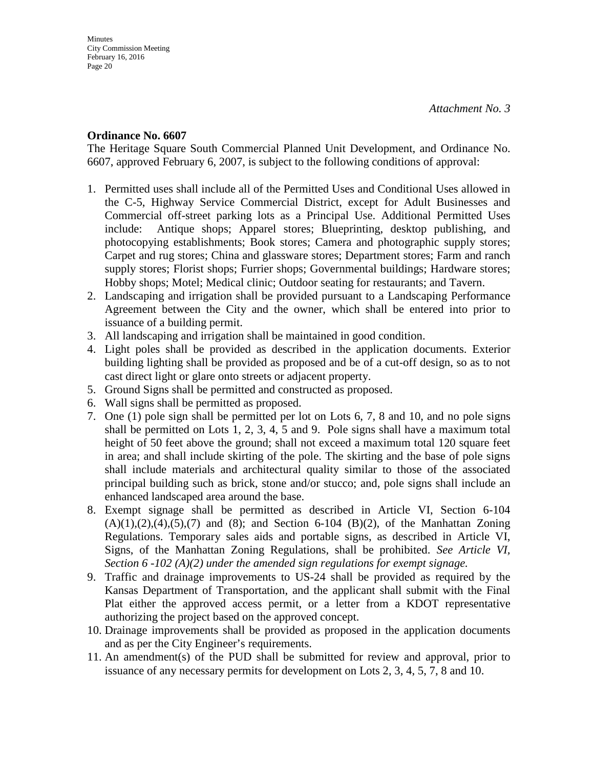### **Ordinance No. 6607**

The Heritage Square South Commercial Planned Unit Development, and Ordinance No. 6607, approved February 6, 2007, is subject to the following conditions of approval:

- 1. Permitted uses shall include all of the Permitted Uses and Conditional Uses allowed in the C-5, Highway Service Commercial District, except for Adult Businesses and Commercial off-street parking lots as a Principal Use. Additional Permitted Uses include: Antique shops; Apparel stores; Blueprinting, desktop publishing, and photocopying establishments; Book stores; Camera and photographic supply stores; Carpet and rug stores; China and glassware stores; Department stores; Farm and ranch supply stores; Florist shops; Furrier shops; Governmental buildings; Hardware stores; Hobby shops; Motel; Medical clinic; Outdoor seating for restaurants; and Tavern.
- 2. Landscaping and irrigation shall be provided pursuant to a Landscaping Performance Agreement between the City and the owner, which shall be entered into prior to issuance of a building permit.
- 3. All landscaping and irrigation shall be maintained in good condition.
- 4. Light poles shall be provided as described in the application documents. Exterior building lighting shall be provided as proposed and be of a cut-off design, so as to not cast direct light or glare onto streets or adjacent property.
- 5. Ground Signs shall be permitted and constructed as proposed.
- 6. Wall signs shall be permitted as proposed.
- 7. One (1) pole sign shall be permitted per lot on Lots 6, 7, 8 and 10, and no pole signs shall be permitted on Lots 1, 2, 3, 4, 5 and 9. Pole signs shall have a maximum total height of 50 feet above the ground; shall not exceed a maximum total 120 square feet in area; and shall include skirting of the pole. The skirting and the base of pole signs shall include materials and architectural quality similar to those of the associated principal building such as brick, stone and/or stucco; and, pole signs shall include an enhanced landscaped area around the base.
- 8. Exempt signage shall be permitted as described in Article VI, Section 6-104  $(A)(1),(2),(4),(5),(7)$  and  $(8)$ ; and Section 6-104  $(B)(2)$ , of the Manhattan Zoning Regulations. Temporary sales aids and portable signs, as described in Article VI, Signs, of the Manhattan Zoning Regulations, shall be prohibited. *See Article VI, Section 6 -102 (A)(2) under the amended sign regulations for exempt signage.*
- 9. Traffic and drainage improvements to US-24 shall be provided as required by the Kansas Department of Transportation, and the applicant shall submit with the Final Plat either the approved access permit, or a letter from a KDOT representative authorizing the project based on the approved concept.
- 10. Drainage improvements shall be provided as proposed in the application documents and as per the City Engineer's requirements.
- 11. An amendment(s) of the PUD shall be submitted for review and approval, prior to issuance of any necessary permits for development on Lots 2, 3, 4, 5, 7, 8 and 10.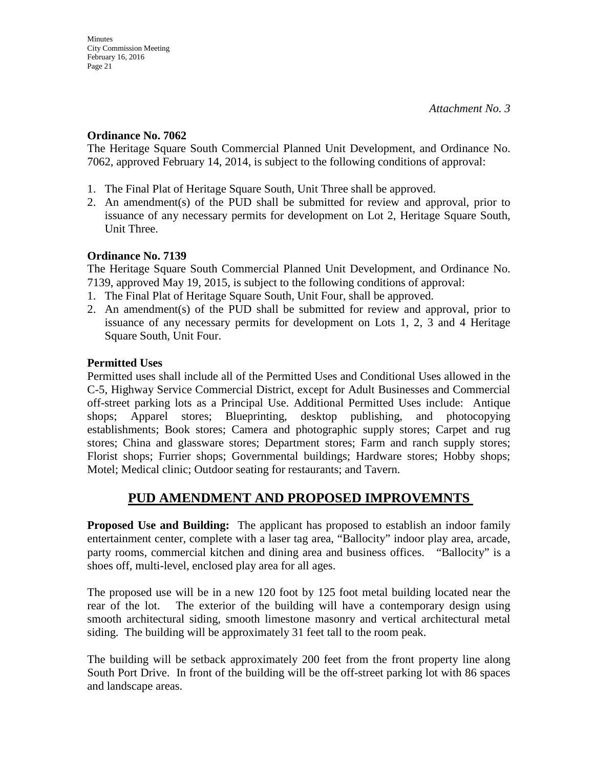## **Ordinance No. 7062**

The Heritage Square South Commercial Planned Unit Development, and Ordinance No. 7062, approved February 14, 2014, is subject to the following conditions of approval:

- 1. The Final Plat of Heritage Square South, Unit Three shall be approved.
- 2. An amendment(s) of the PUD shall be submitted for review and approval, prior to issuance of any necessary permits for development on Lot 2, Heritage Square South, Unit Three.

## **Ordinance No. 7139**

The Heritage Square South Commercial Planned Unit Development, and Ordinance No. 7139, approved May 19, 2015, is subject to the following conditions of approval:

- 1. The Final Plat of Heritage Square South, Unit Four, shall be approved.
- 2. An amendment(s) of the PUD shall be submitted for review and approval, prior to issuance of any necessary permits for development on Lots 1, 2, 3 and 4 Heritage Square South, Unit Four.

## **Permitted Uses**

Permitted uses shall include all of the Permitted Uses and Conditional Uses allowed in the C-5, Highway Service Commercial District, except for Adult Businesses and Commercial off-street parking lots as a Principal Use. Additional Permitted Uses include: Antique shops; Apparel stores; Blueprinting, desktop publishing, and photocopying establishments; Book stores; Camera and photographic supply stores; Carpet and rug stores; China and glassware stores; Department stores; Farm and ranch supply stores; Florist shops; Furrier shops; Governmental buildings; Hardware stores; Hobby shops; Motel; Medical clinic; Outdoor seating for restaurants; and Tavern.

## **PUD AMENDMENT AND PROPOSED IMPROVEMNTS**

**Proposed Use and Building:** The applicant has proposed to establish an indoor family entertainment center, complete with a laser tag area, "Ballocity" indoor play area, arcade, party rooms, commercial kitchen and dining area and business offices. "Ballocity" is a shoes off, multi-level, enclosed play area for all ages.

The proposed use will be in a new 120 foot by 125 foot metal building located near the rear of the lot. The exterior of the building will have a contemporary design using smooth architectural siding, smooth limestone masonry and vertical architectural metal siding. The building will be approximately 31 feet tall to the room peak.

The building will be setback approximately 200 feet from the front property line along South Port Drive. In front of the building will be the off-street parking lot with 86 spaces and landscape areas.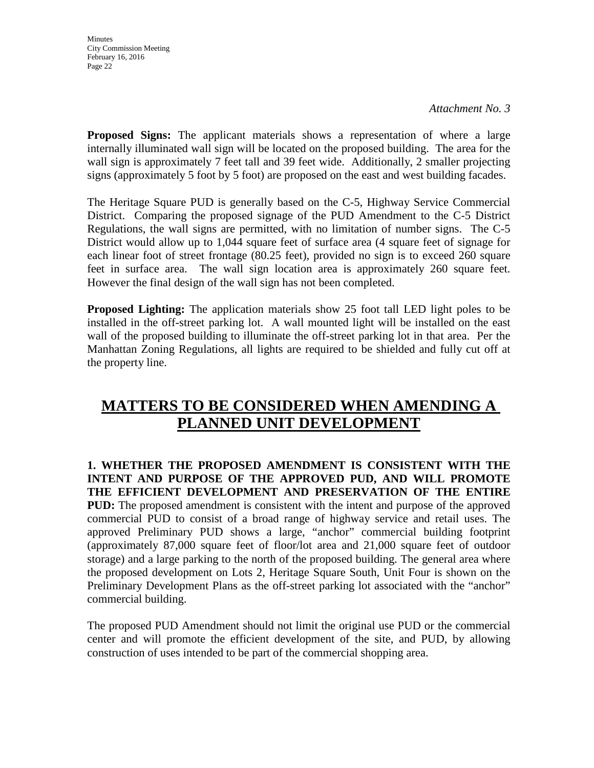**Proposed Signs:** The applicant materials shows a representation of where a large internally illuminated wall sign will be located on the proposed building. The area for the wall sign is approximately 7 feet tall and 39 feet wide. Additionally, 2 smaller projecting signs (approximately 5 foot by 5 foot) are proposed on the east and west building facades.

The Heritage Square PUD is generally based on the C-5, Highway Service Commercial District. Comparing the proposed signage of the PUD Amendment to the C-5 District Regulations, the wall signs are permitted, with no limitation of number signs. The C-5 District would allow up to 1,044 square feet of surface area (4 square feet of signage for each linear foot of street frontage (80.25 feet), provided no sign is to exceed 260 square feet in surface area. The wall sign location area is approximately 260 square feet. However the final design of the wall sign has not been completed.

**Proposed Lighting:** The application materials show 25 foot tall LED light poles to be installed in the off-street parking lot. A wall mounted light will be installed on the east wall of the proposed building to illuminate the off-street parking lot in that area. Per the Manhattan Zoning Regulations, all lights are required to be shielded and fully cut off at the property line.

# **MATTERS TO BE CONSIDERED WHEN AMENDING A PLANNED UNIT DEVELOPMENT**

**1. WHETHER THE PROPOSED AMENDMENT IS CONSISTENT WITH THE INTENT AND PURPOSE OF THE APPROVED PUD, AND WILL PROMOTE THE EFFICIENT DEVELOPMENT AND PRESERVATION OF THE ENTIRE PUD:** The proposed amendment is consistent with the intent and purpose of the approved commercial PUD to consist of a broad range of highway service and retail uses. The approved Preliminary PUD shows a large, "anchor" commercial building footprint (approximately 87,000 square feet of floor/lot area and 21,000 square feet of outdoor storage) and a large parking to the north of the proposed building. The general area where the proposed development on Lots 2, Heritage Square South, Unit Four is shown on the Preliminary Development Plans as the off-street parking lot associated with the "anchor" commercial building.

The proposed PUD Amendment should not limit the original use PUD or the commercial center and will promote the efficient development of the site, and PUD, by allowing construction of uses intended to be part of the commercial shopping area.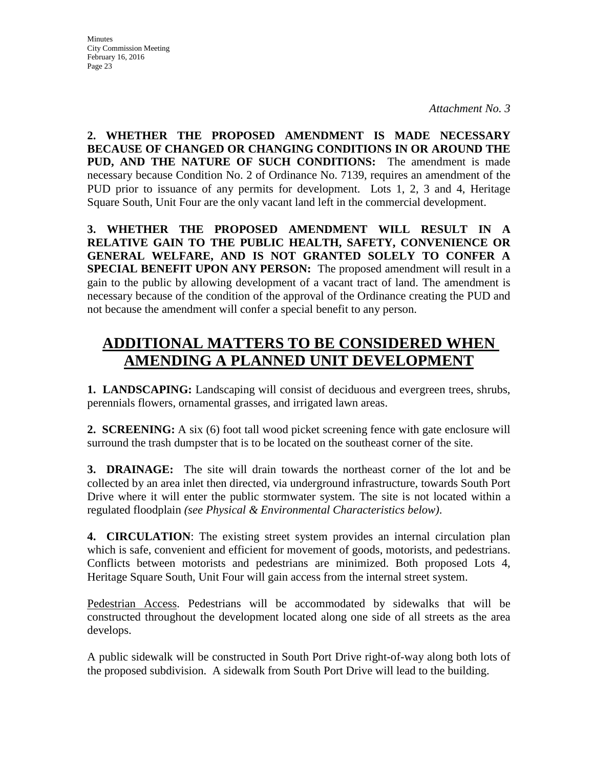**2. WHETHER THE PROPOSED AMENDMENT IS MADE NECESSARY BECAUSE OF CHANGED OR CHANGING CONDITIONS IN OR AROUND THE PUD, AND THE NATURE OF SUCH CONDITIONS:** The amendment is made necessary because Condition No. 2 of Ordinance No. 7139, requires an amendment of the PUD prior to issuance of any permits for development. Lots 1, 2, 3 and 4, Heritage Square South, Unit Four are the only vacant land left in the commercial development.

**3. WHETHER THE PROPOSED AMENDMENT WILL RESULT IN A RELATIVE GAIN TO THE PUBLIC HEALTH, SAFETY, CONVENIENCE OR GENERAL WELFARE, AND IS NOT GRANTED SOLELY TO CONFER A SPECIAL BENEFIT UPON ANY PERSON:** The proposed amendment will result in a gain to the public by allowing development of a vacant tract of land. The amendment is necessary because of the condition of the approval of the Ordinance creating the PUD and not because the amendment will confer a special benefit to any person.

# **ADDITIONAL MATTERS TO BE CONSIDERED WHEN AMENDING A PLANNED UNIT DEVELOPMENT**

**1. LANDSCAPING:** Landscaping will consist of deciduous and evergreen trees, shrubs, perennials flowers, ornamental grasses, and irrigated lawn areas.

**2. SCREENING:** A six (6) foot tall wood picket screening fence with gate enclosure will surround the trash dumpster that is to be located on the southeast corner of the site.

**3. DRAINAGE:** The site will drain towards the northeast corner of the lot and be collected by an area inlet then directed, via underground infrastructure, towards South Port Drive where it will enter the public stormwater system. The site is not located within a regulated floodplain *(see Physical & Environmental Characteristics below)*.

**4. CIRCULATION**: The existing street system provides an internal circulation plan which is safe, convenient and efficient for movement of goods, motorists, and pedestrians. Conflicts between motorists and pedestrians are minimized. Both proposed Lots 4, Heritage Square South, Unit Four will gain access from the internal street system.

Pedestrian Access. Pedestrians will be accommodated by sidewalks that will be constructed throughout the development located along one side of all streets as the area develops.

A public sidewalk will be constructed in South Port Drive right-of-way along both lots of the proposed subdivision. A sidewalk from South Port Drive will lead to the building.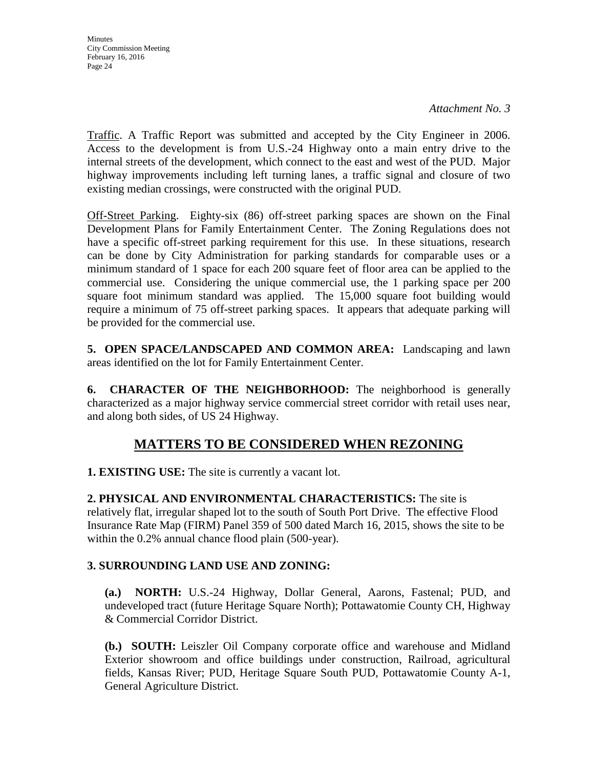*Attachment No. 3*

Traffic. A Traffic Report was submitted and accepted by the City Engineer in 2006. Access to the development is from U.S.-24 Highway onto a main entry drive to the internal streets of the development, which connect to the east and west of the PUD. Major highway improvements including left turning lanes, a traffic signal and closure of two existing median crossings, were constructed with the original PUD.

Off-Street Parking. Eighty-six (86) off-street parking spaces are shown on the Final Development Plans for Family Entertainment Center. The Zoning Regulations does not have a specific off-street parking requirement for this use. In these situations, research can be done by City Administration for parking standards for comparable uses or a minimum standard of 1 space for each 200 square feet of floor area can be applied to the commercial use. Considering the unique commercial use, the 1 parking space per 200 square foot minimum standard was applied. The 15,000 square foot building would require a minimum of 75 off-street parking spaces. It appears that adequate parking will be provided for the commercial use.

**5. OPEN SPACE/LANDSCAPED AND COMMON AREA:** Landscaping and lawn areas identified on the lot for Family Entertainment Center.

**6. CHARACTER OF THE NEIGHBORHOOD:** The neighborhood is generally characterized as a major highway service commercial street corridor with retail uses near, and along both sides, of US 24 Highway.

## **MATTERS TO BE CONSIDERED WHEN REZONING**

**1. EXISTING USE:** The site is currently a vacant lot.

**2. PHYSICAL AND ENVIRONMENTAL CHARACTERISTICS:** The site is relatively flat, irregular shaped lot to the south of South Port Drive. The effective Flood Insurance Rate Map (FIRM) Panel 359 of 500 dated March 16, 2015, shows the site to be within the 0.2% annual chance flood plain (500-year).

## **3. SURROUNDING LAND USE AND ZONING:**

**(a.) NORTH:** U.S.-24 Highway, Dollar General, Aarons, Fastenal; PUD, and undeveloped tract (future Heritage Square North); Pottawatomie County CH, Highway & Commercial Corridor District.

**(b.) SOUTH:** Leiszler Oil Company corporate office and warehouse and Midland Exterior showroom and office buildings under construction, Railroad, agricultural fields, Kansas River; PUD, Heritage Square South PUD, Pottawatomie County A-1, General Agriculture District.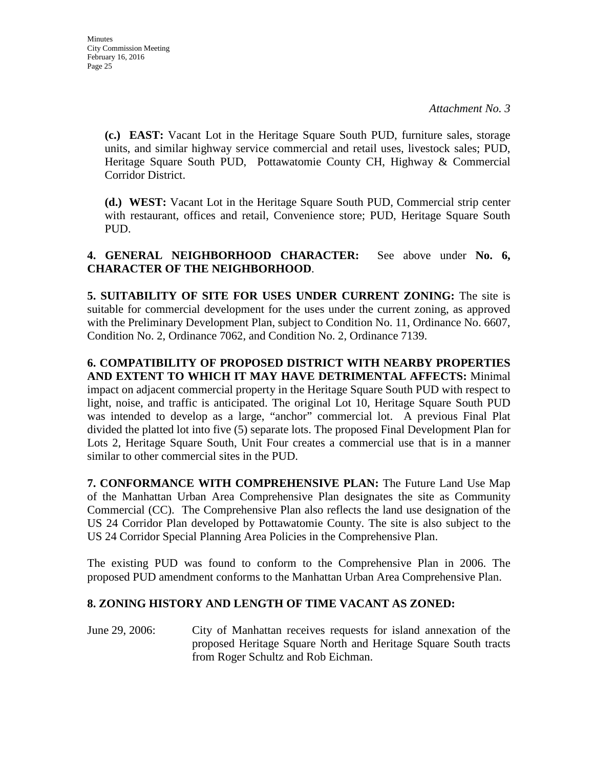**(c.) EAST:** Vacant Lot in the Heritage Square South PUD, furniture sales, storage units, and similar highway service commercial and retail uses, livestock sales; PUD, Heritage Square South PUD, Pottawatomie County CH, Highway & Commercial Corridor District.

**(d.) WEST:** Vacant Lot in the Heritage Square South PUD, Commercial strip center with restaurant, offices and retail, Convenience store; PUD, Heritage Square South PUD.

**4. GENERAL NEIGHBORHOOD CHARACTER:** See above under **No. 6, CHARACTER OF THE NEIGHBORHOOD**.

**5. SUITABILITY OF SITE FOR USES UNDER CURRENT ZONING:** The site is suitable for commercial development for the uses under the current zoning, as approved with the Preliminary Development Plan, subject to Condition No. 11, Ordinance No. 6607, Condition No. 2, Ordinance 7062, and Condition No. 2, Ordinance 7139.

**6. COMPATIBILITY OF PROPOSED DISTRICT WITH NEARBY PROPERTIES AND EXTENT TO WHICH IT MAY HAVE DETRIMENTAL AFFECTS:** Minimal impact on adjacent commercial property in the Heritage Square South PUD with respect to light, noise, and traffic is anticipated. The original Lot 10, Heritage Square South PUD was intended to develop as a large, "anchor" commercial lot. A previous Final Plat divided the platted lot into five (5) separate lots. The proposed Final Development Plan for Lots 2, Heritage Square South, Unit Four creates a commercial use that is in a manner similar to other commercial sites in the PUD.

**7. CONFORMANCE WITH COMPREHENSIVE PLAN:** The Future Land Use Map of the Manhattan Urban Area Comprehensive Plan designates the site as Community Commercial (CC). The Comprehensive Plan also reflects the land use designation of the US 24 Corridor Plan developed by Pottawatomie County. The site is also subject to the US 24 Corridor Special Planning Area Policies in the Comprehensive Plan.

The existing PUD was found to conform to the Comprehensive Plan in 2006. The proposed PUD amendment conforms to the Manhattan Urban Area Comprehensive Plan.

## **8. ZONING HISTORY AND LENGTH OF TIME VACANT AS ZONED:**

June 29, 2006: City of Manhattan receives requests for island annexation of the proposed Heritage Square North and Heritage Square South tracts from Roger Schultz and Rob Eichman.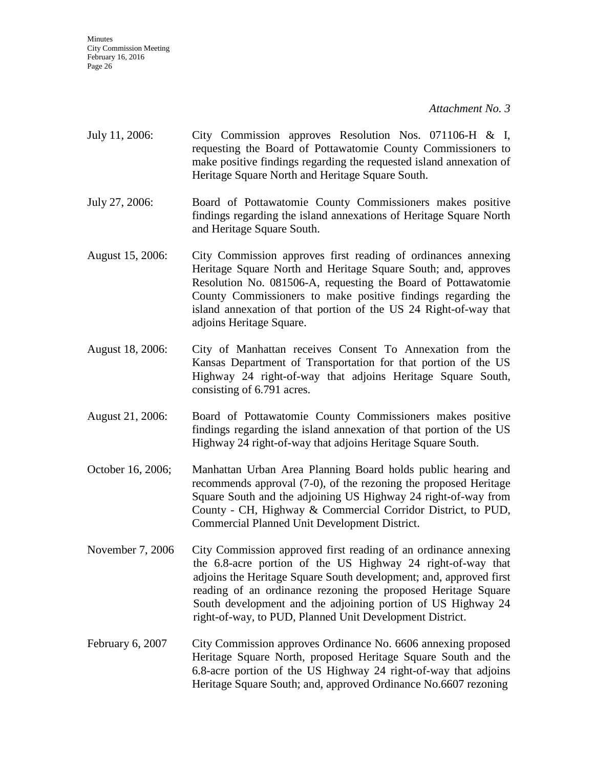*Attachment No. 3*

- July 11, 2006: City Commission approves Resolution Nos. 071106-H & I, requesting the Board of Pottawatomie County Commissioners to make positive findings regarding the requested island annexation of Heritage Square North and Heritage Square South.
- July 27, 2006: Board of Pottawatomie County Commissioners makes positive findings regarding the island annexations of Heritage Square North and Heritage Square South.
- August 15, 2006: City Commission approves first reading of ordinances annexing Heritage Square North and Heritage Square South; and, approves Resolution No. 081506-A, requesting the Board of Pottawatomie County Commissioners to make positive findings regarding the island annexation of that portion of the US 24 Right-of-way that adjoins Heritage Square.
- August 18, 2006: City of Manhattan receives Consent To Annexation from the Kansas Department of Transportation for that portion of the US Highway 24 right-of-way that adjoins Heritage Square South, consisting of 6.791 acres.
- August 21, 2006: Board of Pottawatomie County Commissioners makes positive findings regarding the island annexation of that portion of the US Highway 24 right-of-way that adjoins Heritage Square South.
- October 16, 2006; Manhattan Urban Area Planning Board holds public hearing and recommends approval (7-0), of the rezoning the proposed Heritage Square South and the adjoining US Highway 24 right-of-way from County - CH, Highway & Commercial Corridor District, to PUD, Commercial Planned Unit Development District.
- November 7, 2006 City Commission approved first reading of an ordinance annexing the 6.8-acre portion of the US Highway 24 right-of-way that adjoins the Heritage Square South development; and, approved first reading of an ordinance rezoning the proposed Heritage Square South development and the adjoining portion of US Highway 24 right-of-way, to PUD, Planned Unit Development District.
- February 6, 2007 City Commission approves Ordinance No. 6606 annexing proposed Heritage Square North, proposed Heritage Square South and the 6.8-acre portion of the US Highway 24 right-of-way that adjoins Heritage Square South; and, approved Ordinance No.6607 rezoning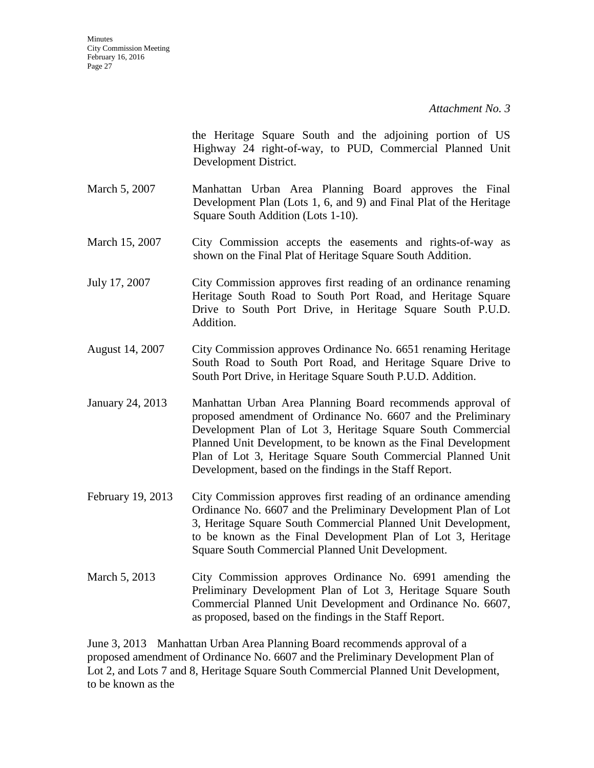*Attachment No. 3*

the Heritage Square South and the adjoining portion of US Highway 24 right-of-way, to PUD, Commercial Planned Unit Development District.

- March 5, 2007 Manhattan Urban Area Planning Board approves the Final Development Plan (Lots 1, 6, and 9) and Final Plat of the Heritage Square South Addition (Lots 1-10).
- March 15, 2007 City Commission accepts the easements and rights-of-way as shown on the Final Plat of Heritage Square South Addition.
- July 17, 2007 City Commission approves first reading of an ordinance renaming Heritage South Road to South Port Road, and Heritage Square Drive to South Port Drive, in Heritage Square South P.U.D. Addition.
- August 14, 2007 City Commission approves Ordinance No. 6651 renaming Heritage South Road to South Port Road, and Heritage Square Drive to South Port Drive, in Heritage Square South P.U.D. Addition.
- January 24, 2013 Manhattan Urban Area Planning Board recommends approval of proposed amendment of Ordinance No. 6607 and the Preliminary Development Plan of Lot 3, Heritage Square South Commercial Planned Unit Development, to be known as the Final Development Plan of Lot 3, Heritage Square South Commercial Planned Unit Development, based on the findings in the Staff Report.
- February 19, 2013 City Commission approves first reading of an ordinance amending Ordinance No. 6607 and the Preliminary Development Plan of Lot 3, Heritage Square South Commercial Planned Unit Development, to be known as the Final Development Plan of Lot 3, Heritage Square South Commercial Planned Unit Development.
- March 5, 2013 City Commission approves Ordinance No. 6991 amending the Preliminary Development Plan of Lot 3, Heritage Square South Commercial Planned Unit Development and Ordinance No. 6607, as proposed, based on the findings in the Staff Report.

June 3, 2013 Manhattan Urban Area Planning Board recommends approval of a proposed amendment of Ordinance No. 6607 and the Preliminary Development Plan of Lot 2, and Lots 7 and 8, Heritage Square South Commercial Planned Unit Development, to be known as the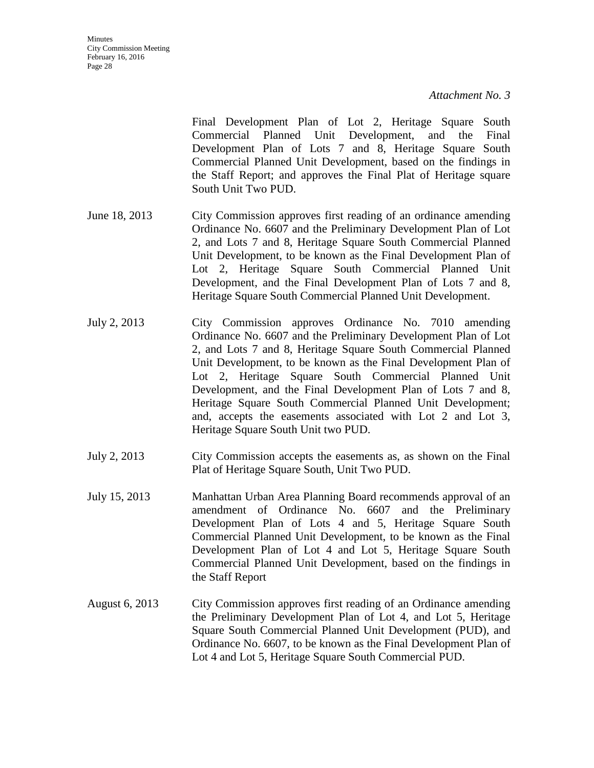Final Development Plan of Lot 2, Heritage Square South Commercial Planned Unit Development, and the Final Development Plan of Lots 7 and 8, Heritage Square South Commercial Planned Unit Development, based on the findings in the Staff Report; and approves the Final Plat of Heritage square South Unit Two PUD.

- June 18, 2013 City Commission approves first reading of an ordinance amending Ordinance No. 6607 and the Preliminary Development Plan of Lot 2, and Lots 7 and 8, Heritage Square South Commercial Planned Unit Development, to be known as the Final Development Plan of Lot 2, Heritage Square South Commercial Planned Unit Development, and the Final Development Plan of Lots 7 and 8, Heritage Square South Commercial Planned Unit Development.
- July 2, 2013 City Commission approves Ordinance No. 7010 amending Ordinance No. 6607 and the Preliminary Development Plan of Lot 2, and Lots 7 and 8, Heritage Square South Commercial Planned Unit Development, to be known as the Final Development Plan of Lot 2, Heritage Square South Commercial Planned Unit Development, and the Final Development Plan of Lots 7 and 8, Heritage Square South Commercial Planned Unit Development; and, accepts the easements associated with Lot 2 and Lot 3, Heritage Square South Unit two PUD.
- July 2, 2013 City Commission accepts the easements as, as shown on the Final Plat of Heritage Square South, Unit Two PUD.
- July 15, 2013 Manhattan Urban Area Planning Board recommends approval of an amendment of Ordinance No. 6607 and the Preliminary Development Plan of Lots 4 and 5, Heritage Square South Commercial Planned Unit Development, to be known as the Final Development Plan of Lot 4 and Lot 5, Heritage Square South Commercial Planned Unit Development, based on the findings in the Staff Report
- August 6, 2013 City Commission approves first reading of an Ordinance amending the Preliminary Development Plan of Lot 4, and Lot 5, Heritage Square South Commercial Planned Unit Development (PUD), and Ordinance No. 6607, to be known as the Final Development Plan of Lot 4 and Lot 5, Heritage Square South Commercial PUD.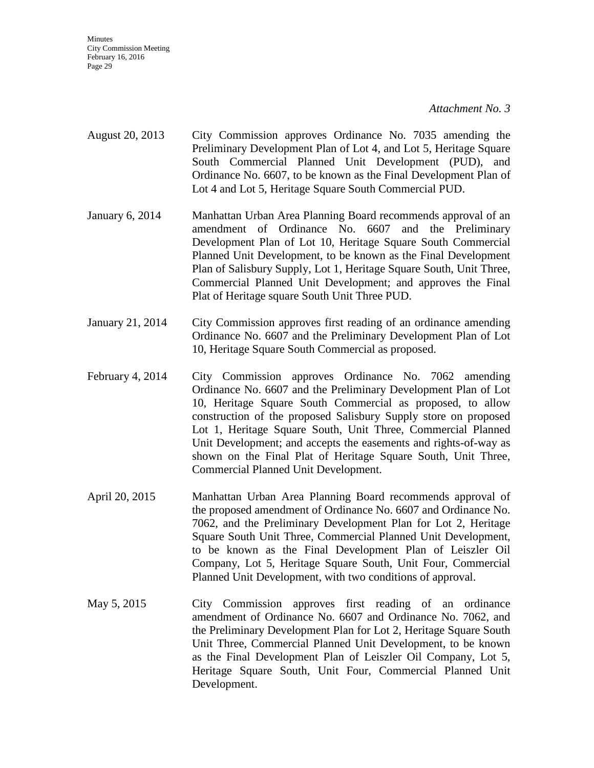*Attachment No. 3*

- August 20, 2013 City Commission approves Ordinance No. 7035 amending the Preliminary Development Plan of Lot 4, and Lot 5, Heritage Square South Commercial Planned Unit Development (PUD), and Ordinance No. 6607, to be known as the Final Development Plan of Lot 4 and Lot 5, Heritage Square South Commercial PUD.
- January 6, 2014 Manhattan Urban Area Planning Board recommends approval of an amendment of Ordinance No. 6607 and the Preliminary Development Plan of Lot 10, Heritage Square South Commercial Planned Unit Development, to be known as the Final Development Plan of Salisbury Supply, Lot 1, Heritage Square South, Unit Three, Commercial Planned Unit Development; and approves the Final Plat of Heritage square South Unit Three PUD.
- January 21, 2014 City Commission approves first reading of an ordinance amending Ordinance No. 6607 and the Preliminary Development Plan of Lot 10, Heritage Square South Commercial as proposed.
- February 4, 2014 City Commission approves Ordinance No. 7062 amending Ordinance No. 6607 and the Preliminary Development Plan of Lot 10, Heritage Square South Commercial as proposed, to allow construction of the proposed Salisbury Supply store on proposed Lot 1, Heritage Square South, Unit Three, Commercial Planned Unit Development; and accepts the easements and rights-of-way as shown on the Final Plat of Heritage Square South, Unit Three, Commercial Planned Unit Development.
- April 20, 2015 Manhattan Urban Area Planning Board recommends approval of the proposed amendment of Ordinance No. 6607 and Ordinance No. 7062, and the Preliminary Development Plan for Lot 2, Heritage Square South Unit Three, Commercial Planned Unit Development, to be known as the Final Development Plan of Leiszler Oil Company, Lot 5, Heritage Square South, Unit Four, Commercial Planned Unit Development, with two conditions of approval.
- May 5, 2015 City Commission approves first reading of an ordinance amendment of Ordinance No. 6607 and Ordinance No. 7062, and the Preliminary Development Plan for Lot 2, Heritage Square South Unit Three, Commercial Planned Unit Development, to be known as the Final Development Plan of Leiszler Oil Company, Lot 5, Heritage Square South, Unit Four, Commercial Planned Unit Development.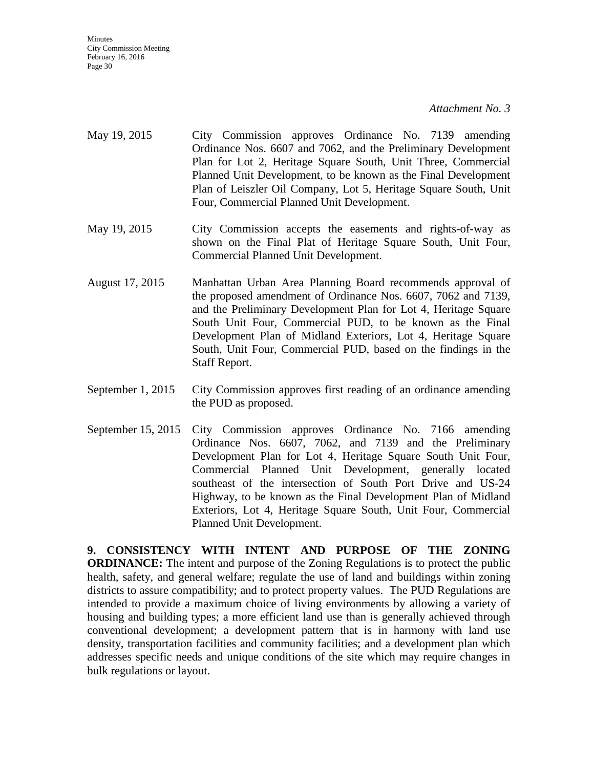*Attachment No. 3*

- May 19, 2015 City Commission approves Ordinance No. 7139 amending Ordinance Nos. 6607 and 7062, and the Preliminary Development Plan for Lot 2, Heritage Square South, Unit Three, Commercial Planned Unit Development, to be known as the Final Development Plan of Leiszler Oil Company, Lot 5, Heritage Square South, Unit Four, Commercial Planned Unit Development.
- May 19, 2015 City Commission accepts the easements and rights-of-way as shown on the Final Plat of Heritage Square South, Unit Four, Commercial Planned Unit Development.
- August 17, 2015 Manhattan Urban Area Planning Board recommends approval of the proposed amendment of Ordinance Nos. 6607, 7062 and 7139, and the Preliminary Development Plan for Lot 4, Heritage Square South Unit Four, Commercial PUD, to be known as the Final Development Plan of Midland Exteriors, Lot 4, Heritage Square South, Unit Four, Commercial PUD, based on the findings in the Staff Report.
- September 1, 2015 City Commission approves first reading of an ordinance amending the PUD as proposed.
- September 15, 2015 City Commission approves Ordinance No. 7166 amending Ordinance Nos. 6607, 7062, and 7139 and the Preliminary Development Plan for Lot 4, Heritage Square South Unit Four, Commercial Planned Unit Development, generally located southeast of the intersection of South Port Drive and US-24 Highway, to be known as the Final Development Plan of Midland Exteriors, Lot 4, Heritage Square South, Unit Four, Commercial Planned Unit Development.

**9. CONSISTENCY WITH INTENT AND PURPOSE OF THE ZONING ORDINANCE:** The intent and purpose of the Zoning Regulations is to protect the public health, safety, and general welfare; regulate the use of land and buildings within zoning districts to assure compatibility; and to protect property values. The PUD Regulations are intended to provide a maximum choice of living environments by allowing a variety of housing and building types; a more efficient land use than is generally achieved through conventional development; a development pattern that is in harmony with land use density, transportation facilities and community facilities; and a development plan which addresses specific needs and unique conditions of the site which may require changes in bulk regulations or layout.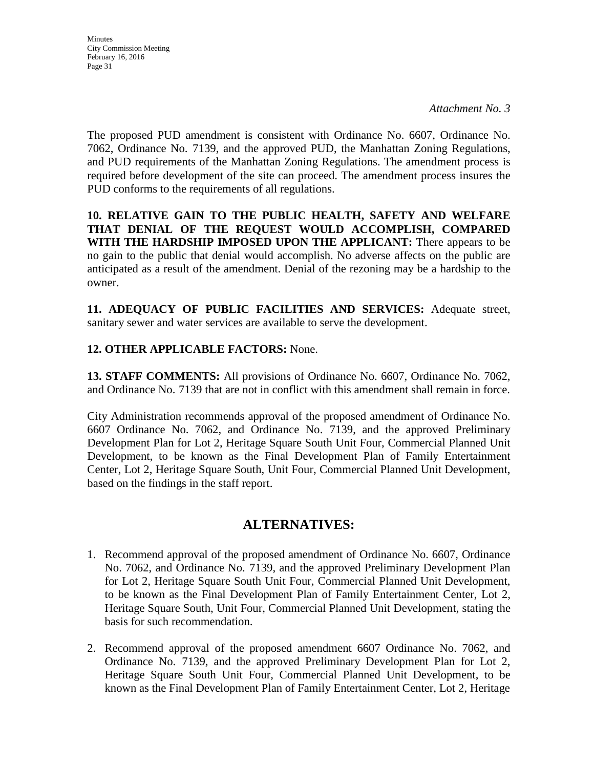**Minutes** City Commission Meeting February 16, 2016 Page 31

The proposed PUD amendment is consistent with Ordinance No. 6607, Ordinance No. 7062, Ordinance No. 7139, and the approved PUD, the Manhattan Zoning Regulations, and PUD requirements of the Manhattan Zoning Regulations. The amendment process is required before development of the site can proceed. The amendment process insures the PUD conforms to the requirements of all regulations.

**10. RELATIVE GAIN TO THE PUBLIC HEALTH, SAFETY AND WELFARE THAT DENIAL OF THE REQUEST WOULD ACCOMPLISH, COMPARED WITH THE HARDSHIP IMPOSED UPON THE APPLICANT:** There appears to be no gain to the public that denial would accomplish. No adverse affects on the public are anticipated as a result of the amendment. Denial of the rezoning may be a hardship to the owner.

**11. ADEQUACY OF PUBLIC FACILITIES AND SERVICES:** Adequate street, sanitary sewer and water services are available to serve the development.

## **12. OTHER APPLICABLE FACTORS:** None.

**13. STAFF COMMENTS:** All provisions of Ordinance No. 6607, Ordinance No. 7062, and Ordinance No. 7139 that are not in conflict with this amendment shall remain in force.

City Administration recommends approval of the proposed amendment of Ordinance No. 6607 Ordinance No. 7062, and Ordinance No. 7139, and the approved Preliminary Development Plan for Lot 2, Heritage Square South Unit Four, Commercial Planned Unit Development, to be known as the Final Development Plan of Family Entertainment Center, Lot 2, Heritage Square South, Unit Four, Commercial Planned Unit Development, based on the findings in the staff report.

## **ALTERNATIVES:**

- 1. Recommend approval of the proposed amendment of Ordinance No. 6607, Ordinance No. 7062, and Ordinance No. 7139, and the approved Preliminary Development Plan for Lot 2, Heritage Square South Unit Four, Commercial Planned Unit Development, to be known as the Final Development Plan of Family Entertainment Center, Lot 2, Heritage Square South, Unit Four, Commercial Planned Unit Development, stating the basis for such recommendation.
- 2. Recommend approval of the proposed amendment 6607 Ordinance No. 7062, and Ordinance No. 7139, and the approved Preliminary Development Plan for Lot 2, Heritage Square South Unit Four, Commercial Planned Unit Development, to be known as the Final Development Plan of Family Entertainment Center, Lot 2, Heritage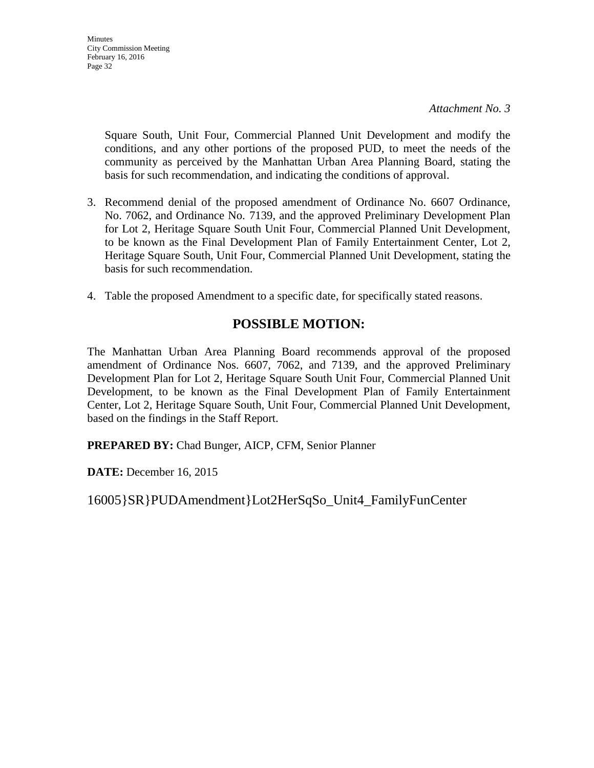**Minutes** 

*Attachment No. 3*

Square South, Unit Four, Commercial Planned Unit Development and modify the conditions, and any other portions of the proposed PUD, to meet the needs of the community as perceived by the Manhattan Urban Area Planning Board, stating the basis for such recommendation, and indicating the conditions of approval.

- 3. Recommend denial of the proposed amendment of Ordinance No. 6607 Ordinance, No. 7062, and Ordinance No. 7139, and the approved Preliminary Development Plan for Lot 2, Heritage Square South Unit Four, Commercial Planned Unit Development, to be known as the Final Development Plan of Family Entertainment Center, Lot 2, Heritage Square South, Unit Four, Commercial Planned Unit Development, stating the basis for such recommendation.
- 4. Table the proposed Amendment to a specific date, for specifically stated reasons.

## **POSSIBLE MOTION:**

The Manhattan Urban Area Planning Board recommends approval of the proposed amendment of Ordinance Nos. 6607, 7062, and 7139, and the approved Preliminary Development Plan for Lot 2, Heritage Square South Unit Four, Commercial Planned Unit Development, to be known as the Final Development Plan of Family Entertainment Center, Lot 2, Heritage Square South, Unit Four, Commercial Planned Unit Development, based on the findings in the Staff Report.

**PREPARED BY:** Chad Bunger, AICP, CFM, Senior Planner

**DATE:** December 16, 2015

16005}SR}PUDAmendment}Lot2HerSqSo\_Unit4\_FamilyFunCenter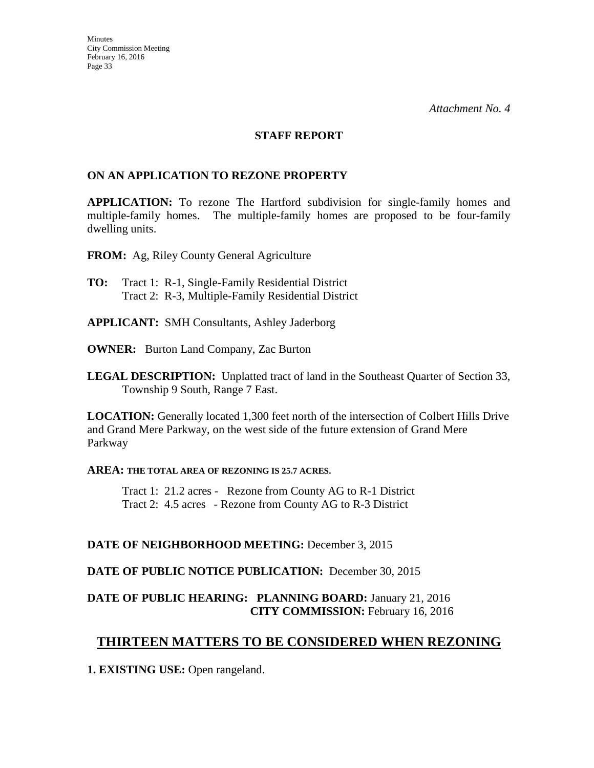#### **STAFF REPORT**

### **ON AN APPLICATION TO REZONE PROPERTY**

**APPLICATION:** To rezone The Hartford subdivision for single-family homes and multiple-family homes. The multiple-family homes are proposed to be four-family dwelling units.

**FROM:** Ag, Riley County General Agriculture

- **TO:** Tract 1:R-1, Single-Family Residential District Tract 2: R-3, Multiple-Family Residential District
- **APPLICANT:** SMH Consultants, Ashley Jaderborg
- **OWNER:** Burton Land Company, Zac Burton
- **LEGAL DESCRIPTION:** Unplatted tract of land in the Southeast Quarter of Section 33, Township 9 South, Range 7 East.

**LOCATION:** Generally located 1,300 feet north of the intersection of Colbert Hills Drive and Grand Mere Parkway, on the west side of the future extension of Grand Mere Parkway

#### **AREA: THE TOTAL AREA OF REZONING IS 25.7 ACRES.**

 Tract 1: 21.2 acres - Rezone from County AG to R-1 District Tract 2: 4.5 acres - Rezone from County AG to R-3 District

#### **DATE OF NEIGHBORHOOD MEETING:** December 3, 2015

**DATE OF PUBLIC NOTICE PUBLICATION:** December 30, 2015

## **DATE OF PUBLIC HEARING: PLANNING BOARD:** January 21, 2016 **CITY COMMISSION:** February 16, 2016

## **THIRTEEN MATTERS TO BE CONSIDERED WHEN REZONING**

**1. EXISTING USE:** Open rangeland.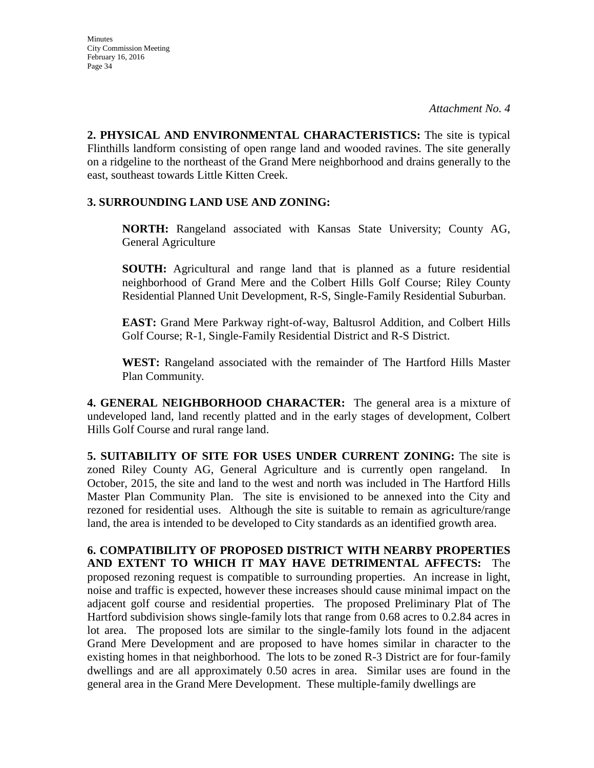**2. PHYSICAL AND ENVIRONMENTAL CHARACTERISTICS:** The site is typical Flinthills landform consisting of open range land and wooded ravines. The site generally on a ridgeline to the northeast of the Grand Mere neighborhood and drains generally to the east, southeast towards Little Kitten Creek.

## **3. SURROUNDING LAND USE AND ZONING:**

**NORTH:** Rangeland associated with Kansas State University; County AG, General Agriculture

**SOUTH:** Agricultural and range land that is planned as a future residential neighborhood of Grand Mere and the Colbert Hills Golf Course; Riley County Residential Planned Unit Development, R-S, Single-Family Residential Suburban.

**EAST:** Grand Mere Parkway right-of-way, Baltusrol Addition, and Colbert Hills Golf Course; R-1, Single-Family Residential District and R-S District.

**WEST:** Rangeland associated with the remainder of The Hartford Hills Master Plan Community.

**4. GENERAL NEIGHBORHOOD CHARACTER:** The general area is a mixture of undeveloped land, land recently platted and in the early stages of development, Colbert Hills Golf Course and rural range land.

**5. SUITABILITY OF SITE FOR USES UNDER CURRENT ZONING:** The site is zoned Riley County AG, General Agriculture and is currently open rangeland. In October, 2015, the site and land to the west and north was included in The Hartford Hills Master Plan Community Plan. The site is envisioned to be annexed into the City and rezoned for residential uses. Although the site is suitable to remain as agriculture/range land, the area is intended to be developed to City standards as an identified growth area.

**6. COMPATIBILITY OF PROPOSED DISTRICT WITH NEARBY PROPERTIES AND EXTENT TO WHICH IT MAY HAVE DETRIMENTAL AFFECTS:** The proposed rezoning request is compatible to surrounding properties. An increase in light, noise and traffic is expected, however these increases should cause minimal impact on the adjacent golf course and residential properties. The proposed Preliminary Plat of The Hartford subdivision shows single-family lots that range from 0.68 acres to 0.2.84 acres in lot area. The proposed lots are similar to the single-family lots found in the adjacent Grand Mere Development and are proposed to have homes similar in character to the existing homes in that neighborhood. The lots to be zoned R-3 District are for four-family dwellings and are all approximately 0.50 acres in area. Similar uses are found in the general area in the Grand Mere Development. These multiple-family dwellings are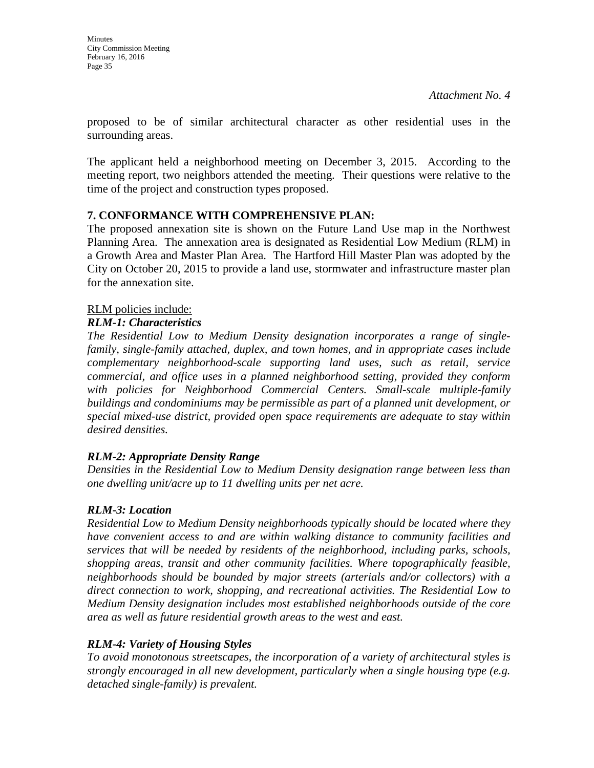proposed to be of similar architectural character as other residential uses in the surrounding areas.

The applicant held a neighborhood meeting on December 3, 2015. According to the meeting report, two neighbors attended the meeting. Their questions were relative to the time of the project and construction types proposed.

## **7. CONFORMANCE WITH COMPREHENSIVE PLAN:**

The proposed annexation site is shown on the Future Land Use map in the Northwest Planning Area. The annexation area is designated as Residential Low Medium (RLM) in a Growth Area and Master Plan Area. The Hartford Hill Master Plan was adopted by the City on October 20, 2015 to provide a land use, stormwater and infrastructure master plan for the annexation site.

## RLM policies include:

## *RLM-1: Characteristics*

*The Residential Low to Medium Density designation incorporates a range of singlefamily, single-family attached, duplex, and town homes, and in appropriate cases include complementary neighborhood-scale supporting land uses, such as retail, service commercial, and office uses in a planned neighborhood setting, provided they conform with policies for Neighborhood Commercial Centers. Small-scale multiple-family buildings and condominiums may be permissible as part of a planned unit development, or special mixed-use district, provided open space requirements are adequate to stay within desired densities.* 

## *RLM-2: Appropriate Density Range*

*Densities in the Residential Low to Medium Density designation range between less than one dwelling unit/acre up to 11 dwelling units per net acre.* 

## *RLM-3: Location*

*Residential Low to Medium Density neighborhoods typically should be located where they have convenient access to and are within walking distance to community facilities and services that will be needed by residents of the neighborhood, including parks, schools, shopping areas, transit and other community facilities. Where topographically feasible, neighborhoods should be bounded by major streets (arterials and/or collectors) with a direct connection to work, shopping, and recreational activities. The Residential Low to Medium Density designation includes most established neighborhoods outside of the core area as well as future residential growth areas to the west and east.* 

## *RLM-4: Variety of Housing Styles*

*To avoid monotonous streetscapes, the incorporation of a variety of architectural styles is strongly encouraged in all new development, particularly when a single housing type (e.g. detached single-family) is prevalent.*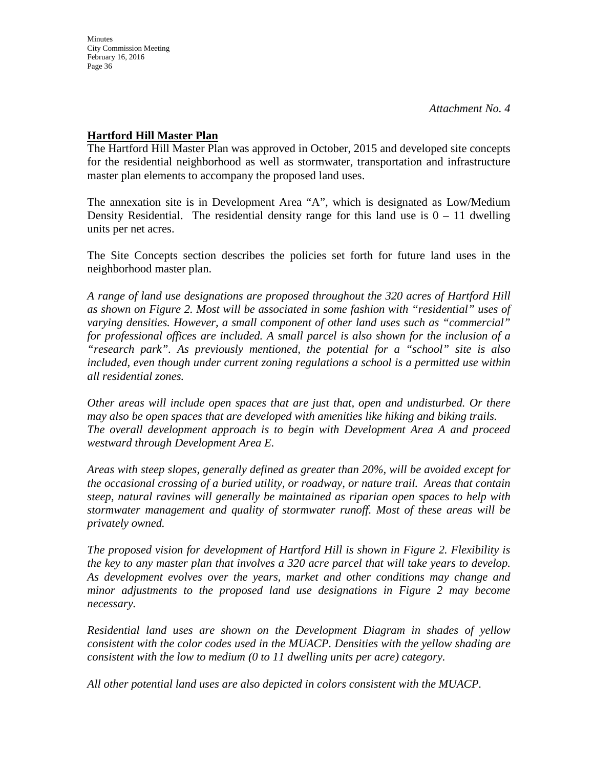## **Hartford Hill Master Plan**

The Hartford Hill Master Plan was approved in October, 2015 and developed site concepts for the residential neighborhood as well as stormwater, transportation and infrastructure master plan elements to accompany the proposed land uses.

The annexation site is in Development Area "A", which is designated as Low/Medium Density Residential. The residential density range for this land use is  $0 - 11$  dwelling units per net acres.

The Site Concepts section describes the policies set forth for future land uses in the neighborhood master plan.

*A range of land use designations are proposed throughout the 320 acres of Hartford Hill as shown on Figure 2. Most will be associated in some fashion with "residential" uses of varying densities. However, a small component of other land uses such as "commercial" for professional offices are included. A small parcel is also shown for the inclusion of a "research park". As previously mentioned, the potential for a "school" site is also included, even though under current zoning regulations a school is a permitted use within all residential zones.* 

*Other areas will include open spaces that are just that, open and undisturbed. Or there may also be open spaces that are developed with amenities like hiking and biking trails. The overall development approach is to begin with Development Area A and proceed westward through Development Area E.* 

*Areas with steep slopes, generally defined as greater than 20%, will be avoided except for the occasional crossing of a buried utility, or roadway, or nature trail. Areas that contain steep, natural ravines will generally be maintained as riparian open spaces to help with stormwater management and quality of stormwater runoff. Most of these areas will be privately owned.* 

*The proposed vision for development of Hartford Hill is shown in Figure 2. Flexibility is the key to any master plan that involves a 320 acre parcel that will take years to develop. As development evolves over the years, market and other conditions may change and minor adjustments to the proposed land use designations in Figure 2 may become necessary.*

*Residential land uses are shown on the Development Diagram in shades of yellow consistent with the color codes used in the MUACP. Densities with the yellow shading are consistent with the low to medium (0 to 11 dwelling units per acre) category.* 

*All other potential land uses are also depicted in colors consistent with the MUACP.*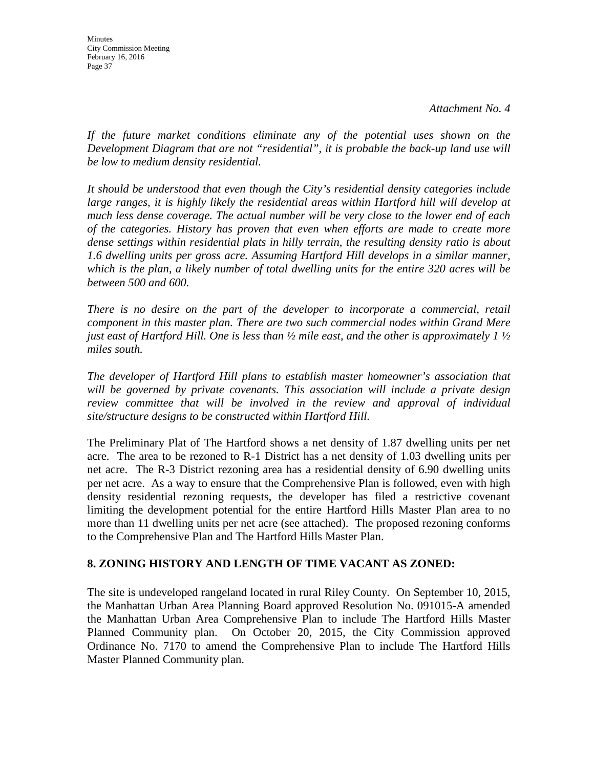If the future market conditions eliminate any of the potential uses shown on the *Development Diagram that are not "residential", it is probable the back-up land use will be low to medium density residential.* 

*It should be understood that even though the City's residential density categories include*  large ranges, it is highly likely the residential areas within Hartford hill will develop at *much less dense coverage. The actual number will be very close to the lower end of each of the categories. History has proven that even when efforts are made to create more dense settings within residential plats in hilly terrain, the resulting density ratio is about 1.6 dwelling units per gross acre. Assuming Hartford Hill develops in a similar manner, which is the plan, a likely number of total dwelling units for the entire 320 acres will be between 500 and 600.* 

*There is no desire on the part of the developer to incorporate a commercial, retail component in this master plan. There are two such commercial nodes within Grand Mere just east of Hartford Hill. One is less than ½ mile east, and the other is approximately 1 ½ miles south.* 

*The developer of Hartford Hill plans to establish master homeowner's association that will be governed by private covenants. This association will include a private design review committee that will be involved in the review and approval of individual site/structure designs to be constructed within Hartford Hill.* 

The Preliminary Plat of The Hartford shows a net density of 1.87 dwelling units per net acre. The area to be rezoned to R-1 District has a net density of 1.03 dwelling units per net acre. The R-3 District rezoning area has a residential density of 6.90 dwelling units per net acre. As a way to ensure that the Comprehensive Plan is followed, even with high density residential rezoning requests, the developer has filed a restrictive covenant limiting the development potential for the entire Hartford Hills Master Plan area to no more than 11 dwelling units per net acre (see attached).The proposed rezoning conforms to the Comprehensive Plan and The Hartford Hills Master Plan.

## **8. ZONING HISTORY AND LENGTH OF TIME VACANT AS ZONED:**

The site is undeveloped rangeland located in rural Riley County. On September 10, 2015, the Manhattan Urban Area Planning Board approved Resolution No. 091015-A amended the Manhattan Urban Area Comprehensive Plan to include The Hartford Hills Master Planned Community plan. On October 20, 2015, the City Commission approved Ordinance No. 7170 to amend the Comprehensive Plan to include The Hartford Hills Master Planned Community plan.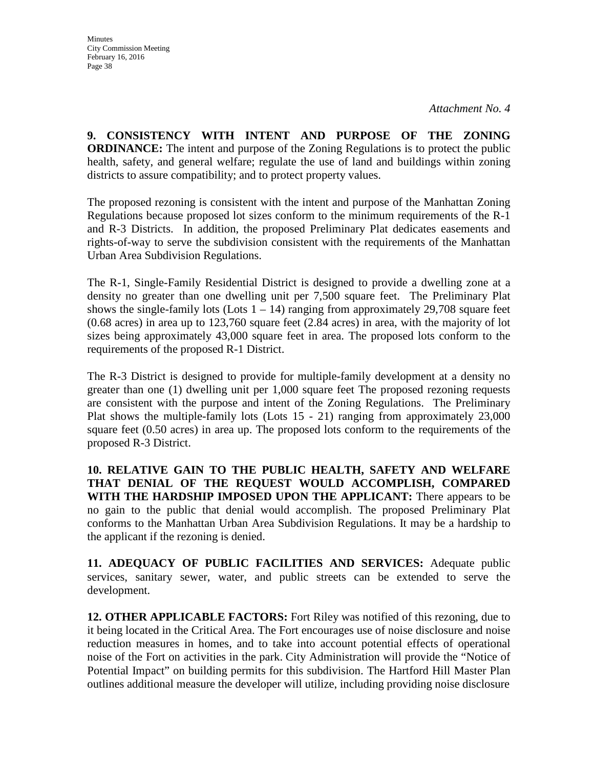**9. CONSISTENCY WITH INTENT AND PURPOSE OF THE ZONING ORDINANCE:** The intent and purpose of the Zoning Regulations is to protect the public health, safety, and general welfare; regulate the use of land and buildings within zoning districts to assure compatibility; and to protect property values.

The proposed rezoning is consistent with the intent and purpose of the Manhattan Zoning Regulations because proposed lot sizes conform to the minimum requirements of the R-1 and R-3 Districts. In addition, the proposed Preliminary Plat dedicates easements and rights-of-way to serve the subdivision consistent with the requirements of the Manhattan Urban Area Subdivision Regulations.

The R-1, Single-Family Residential District is designed to provide a dwelling zone at a density no greater than one dwelling unit per 7,500 square feet. The Preliminary Plat shows the single-family lots (Lots  $1 - 14$ ) ranging from approximately 29,708 square feet (0.68 acres) in area up to 123,760 square feet (2.84 acres) in area, with the majority of lot sizes being approximately 43,000 square feet in area. The proposed lots conform to the requirements of the proposed R-1 District.

The R-3 District is designed to provide for multiple-family development at a density no greater than one (1) dwelling unit per 1,000 square feet The proposed rezoning requests are consistent with the purpose and intent of the Zoning Regulations. The Preliminary Plat shows the multiple-family lots (Lots 15 - 21) ranging from approximately 23,000 square feet (0.50 acres) in area up. The proposed lots conform to the requirements of the proposed R-3 District.

**10. RELATIVE GAIN TO THE PUBLIC HEALTH, SAFETY AND WELFARE THAT DENIAL OF THE REQUEST WOULD ACCOMPLISH, COMPARED WITH THE HARDSHIP IMPOSED UPON THE APPLICANT:** There appears to be no gain to the public that denial would accomplish. The proposed Preliminary Plat conforms to the Manhattan Urban Area Subdivision Regulations. It may be a hardship to the applicant if the rezoning is denied.

**11. ADEQUACY OF PUBLIC FACILITIES AND SERVICES:** Adequate public services, sanitary sewer, water, and public streets can be extended to serve the development.

**12. OTHER APPLICABLE FACTORS:** Fort Riley was notified of this rezoning, due to it being located in the Critical Area. The Fort encourages use of noise disclosure and noise reduction measures in homes, and to take into account potential effects of operational noise of the Fort on activities in the park. City Administration will provide the "Notice of Potential Impact" on building permits for this subdivision. The Hartford Hill Master Plan outlines additional measure the developer will utilize, including providing noise disclosure